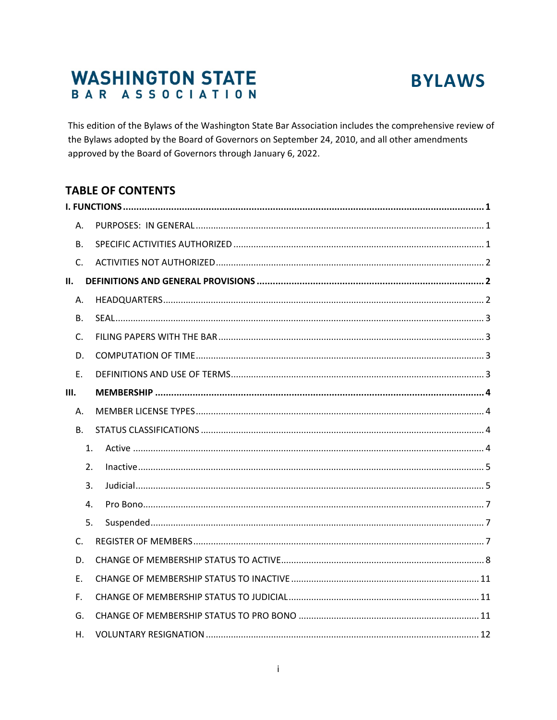# **WASHINGTON STATE** BAR ASSOCIATION



This edition of the Bylaws of the Washington State Bar Association includes the comprehensive review of the Bylaws adopted by the Board of Governors on September 24, 2010, and all other amendments approved by the Board of Governors through January 6, 2022.

# **TABLE OF CONTENTS**

| Α.        |  |  |  |  |
|-----------|--|--|--|--|
| <b>B.</b> |  |  |  |  |
| C.        |  |  |  |  |
| Ш.        |  |  |  |  |
| Α.        |  |  |  |  |
| <b>B.</b> |  |  |  |  |
| C.        |  |  |  |  |
| D.        |  |  |  |  |
| E.        |  |  |  |  |
| Ш.        |  |  |  |  |
| Α.        |  |  |  |  |
| <b>B.</b> |  |  |  |  |
| 1.        |  |  |  |  |
| 2.        |  |  |  |  |
| 3.        |  |  |  |  |
| 4.        |  |  |  |  |
| 5.        |  |  |  |  |
| C.        |  |  |  |  |
| D.        |  |  |  |  |
| E.        |  |  |  |  |
| F.        |  |  |  |  |
| G.        |  |  |  |  |
| Η.        |  |  |  |  |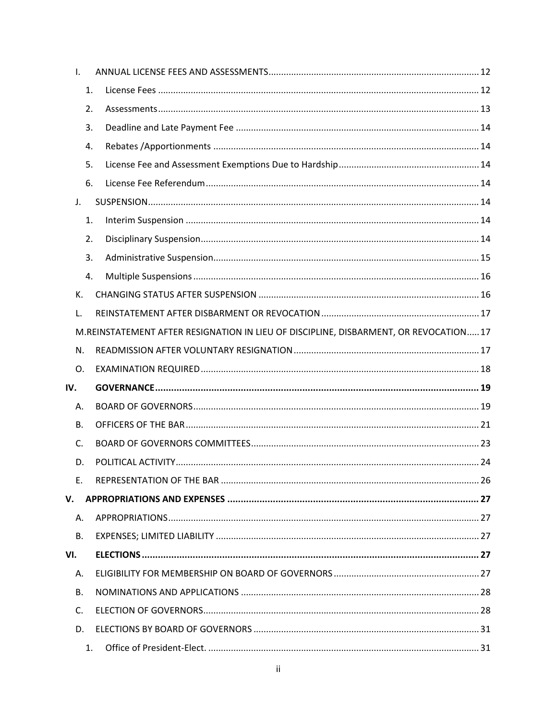| $\mathsf{L}$   |           |                                                                                       |  |
|----------------|-----------|---------------------------------------------------------------------------------------|--|
|                | 1.        |                                                                                       |  |
|                | 2.        |                                                                                       |  |
|                | 3.        |                                                                                       |  |
|                | 4.        |                                                                                       |  |
|                | 5.        |                                                                                       |  |
|                | 6.        |                                                                                       |  |
| $\mathsf{J}$ . |           |                                                                                       |  |
|                | 1.        |                                                                                       |  |
|                | 2.        |                                                                                       |  |
|                | 3.        |                                                                                       |  |
|                | 4.        |                                                                                       |  |
|                | K.        |                                                                                       |  |
| L.             |           |                                                                                       |  |
|                |           | M.REINSTATEMENT AFTER RESIGNATION IN LIEU OF DISCIPLINE, DISBARMENT, OR REVOCATION 17 |  |
|                | N.        |                                                                                       |  |
|                | 0.        |                                                                                       |  |
| IV.            |           |                                                                                       |  |
| А.             |           |                                                                                       |  |
|                | <b>B.</b> |                                                                                       |  |
| $C_{\cdot}$    |           |                                                                                       |  |
|                | D.        |                                                                                       |  |
|                | E.        |                                                                                       |  |
| V.             |           |                                                                                       |  |
| Α.             |           |                                                                                       |  |
|                | <b>B.</b> |                                                                                       |  |
| VI.            |           |                                                                                       |  |
| Α.             |           |                                                                                       |  |
| В.             |           |                                                                                       |  |
|                |           |                                                                                       |  |
| C.             |           |                                                                                       |  |
|                | D.        |                                                                                       |  |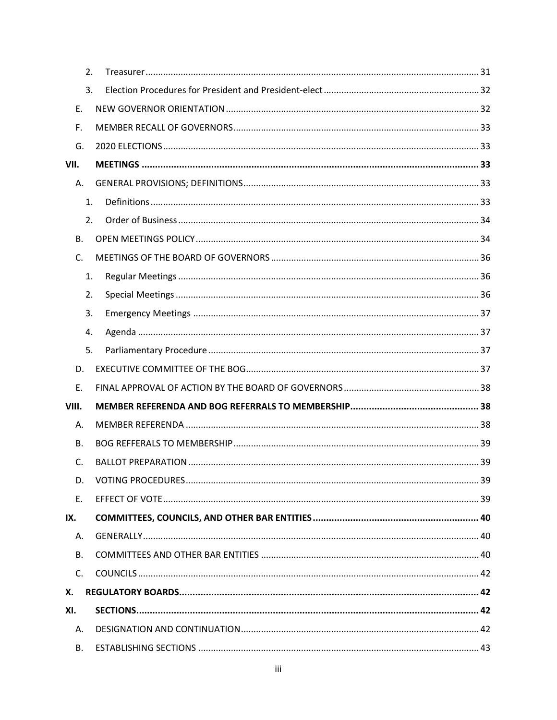| 2.          |  |
|-------------|--|
| 3.          |  |
| E.          |  |
| F.          |  |
| G.          |  |
| VII.        |  |
| A.          |  |
| 1.          |  |
| 2.          |  |
| <b>B.</b>   |  |
| C.          |  |
| 1.          |  |
| 2.          |  |
| 3.          |  |
| 4.          |  |
| 5.          |  |
| D.          |  |
| E.          |  |
| VIII.       |  |
| Α.          |  |
| В.          |  |
| C.          |  |
| D.          |  |
| Ε.          |  |
| IX.         |  |
| Α.          |  |
| В.          |  |
| $C_{\cdot}$ |  |
| Х.          |  |
| XI.         |  |
| A.          |  |
| В.          |  |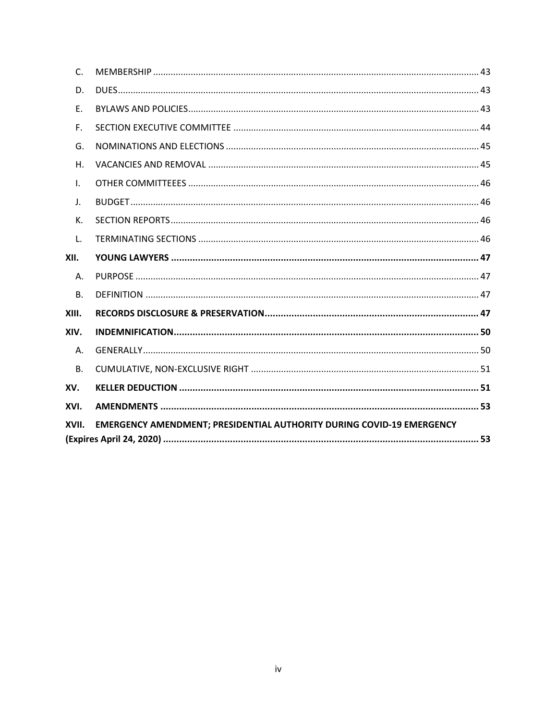| $\mathsf{C}$ . |                                                                              |
|----------------|------------------------------------------------------------------------------|
| D.             |                                                                              |
| E.             |                                                                              |
| F.             |                                                                              |
| G.             |                                                                              |
| $H_{\odot}$    |                                                                              |
| $\mathsf{L}$   |                                                                              |
| $\mathsf{J}$ . |                                                                              |
| K.             |                                                                              |
| L.             |                                                                              |
| XII.           |                                                                              |
| Α.             |                                                                              |
| B.             |                                                                              |
| XIII.          |                                                                              |
| XIV.           |                                                                              |
| Α.             |                                                                              |
| <b>B.</b>      |                                                                              |
| XV.            |                                                                              |
| XVI.           |                                                                              |
| XVII.          | <b>EMERGENCY AMENDMENT; PRESIDENTIAL AUTHORITY DURING COVID-19 EMERGENCY</b> |
|                |                                                                              |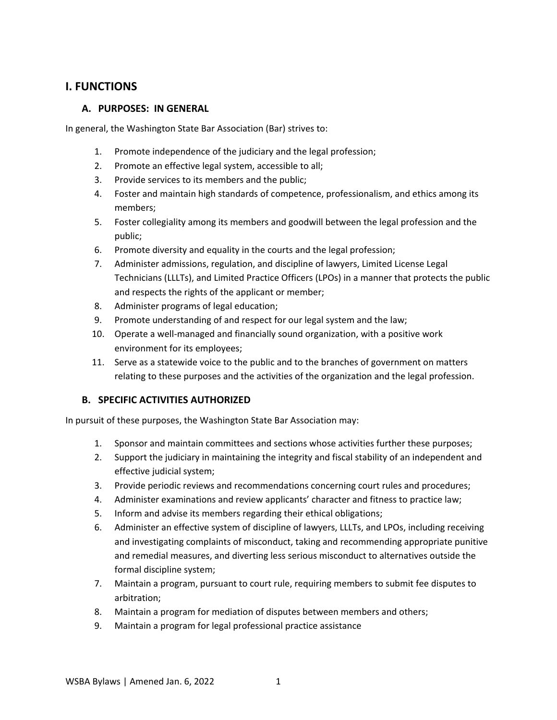# <span id="page-4-1"></span><span id="page-4-0"></span>**I. FUNCTIONS**

## **A. PURPOSES: IN GENERAL**

In general, the Washington State Bar Association (Bar) strives to:

- 1. Promote independence of the judiciary and the legal profession;
- 2. Promote an effective legal system, accessible to all;
- 3. Provide services to its members and the public;
- 4. Foster and maintain high standards of competence, professionalism, and ethics among its members;
- 5. Foster collegiality among its members and goodwill between the legal profession and the public;
- 6. Promote diversity and equality in the courts and the legal profession;
- 7. Administer admissions, regulation, and discipline of lawyers, Limited License Legal Technicians (LLLTs), and Limited Practice Officers (LPOs) in a manner that protects the public and respects the rights of the applicant or member;
- 8. Administer programs of legal education;
- 9. Promote understanding of and respect for our legal system and the law;
- 10. Operate a well-managed and financially sound organization, with a positive work environment for its employees;
- 11. Serve as a statewide voice to the public and to the branches of government on matters relating to these purposes and the activities of the organization and the legal profession.

# <span id="page-4-2"></span>**B. SPECIFIC ACTIVITIES AUTHORIZED**

In pursuit of these purposes, the Washington State Bar Association may:

- 1. Sponsor and maintain committees and sections whose activities further these purposes;
- 2. Support the judiciary in maintaining the integrity and fiscal stability of an independent and effective judicial system;
- 3. Provide periodic reviews and recommendations concerning court rules and procedures;
- 4. Administer examinations and review applicants' character and fitness to practice law;
- 5. Inform and advise its members regarding their ethical obligations;
- 6. Administer an effective system of discipline of lawyers, LLLTs, and LPOs, including receiving and investigating complaints of misconduct, taking and recommending appropriate punitive and remedial measures, and diverting less serious misconduct to alternatives outside the formal discipline system;
- 7. Maintain a program, pursuant to court rule, requiring members to submit fee disputes to arbitration;
- 8. Maintain a program for mediation of disputes between members and others;
- 9. Maintain a program for legal professional practice assistance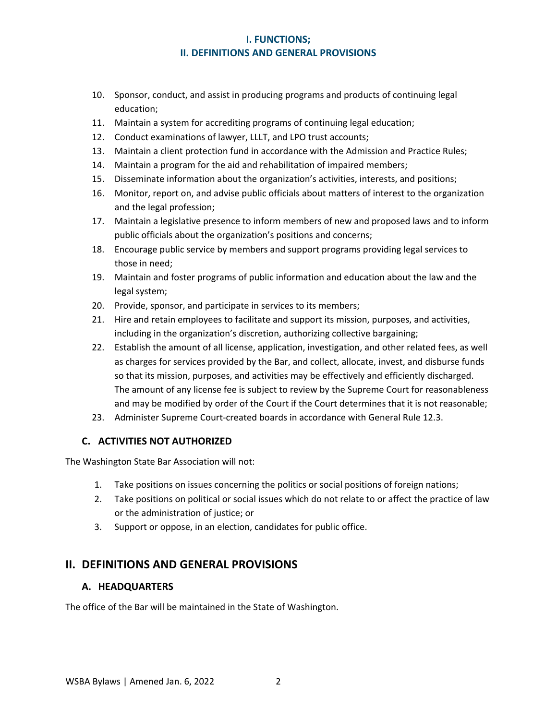# **I. FUNCTIONS; II. DEFINITIONS AND GENERAL PROVISIONS**

- 10. Sponsor, conduct, and assist in producing programs and products of continuing legal education;
- 11. Maintain a system for accrediting programs of continuing legal education;
- 12. Conduct examinations of lawyer, LLLT, and LPO trust accounts;
- 13. Maintain a client protection fund in accordance with the Admission and Practice Rules;
- 14. Maintain a program for the aid and rehabilitation of impaired members;
- 15. Disseminate information about the organization's activities, interests, and positions;
- 16. Monitor, report on, and advise public officials about matters of interest to the organization and the legal profession;
- 17. Maintain a legislative presence to inform members of new and proposed laws and to inform public officials about the organization's positions and concerns;
- 18. Encourage public service by members and support programs providing legal services to those in need;
- 19. Maintain and foster programs of public information and education about the law and the legal system;
- 20. Provide, sponsor, and participate in services to its members;
- 21. Hire and retain employees to facilitate and support its mission, purposes, and activities, including in the organization's discretion, authorizing collective bargaining;
- 22. Establish the amount of all license, application, investigation, and other related fees, as well as charges for services provided by the Bar, and collect, allocate, invest, and disburse funds so that its mission, purposes, and activities may be effectively and efficiently discharged. The amount of any license fee is subject to review by the Supreme Court for reasonableness and may be modified by order of the Court if the Court determines that it is not reasonable;
- 23. Administer Supreme Court-created boards in accordance with General Rule 12.3.

## <span id="page-5-0"></span>**C. ACTIVITIES NOT AUTHORIZED**

The Washington State Bar Association will not:

- 1. Take positions on issues concerning the politics or social positions of foreign nations;
- 2. Take positions on political or social issues which do not relate to or affect the practice of law or the administration of justice; or
- 3. Support or oppose, in an election, candidates for public office.

# <span id="page-5-2"></span><span id="page-5-1"></span>**II. DEFINITIONS AND GENERAL PROVISIONS**

## **A. HEADQUARTERS**

The office of the Bar will be maintained in the State of Washington.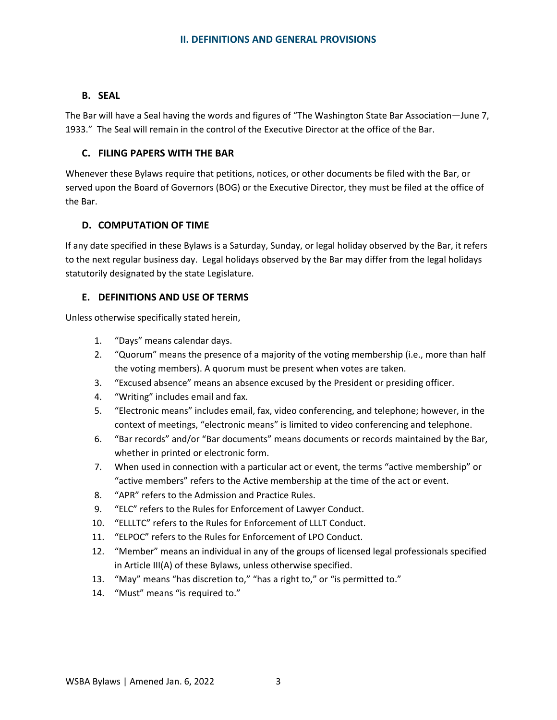# <span id="page-6-0"></span>**B. SEAL**

The Bar will have a Seal having the words and figures of "The Washington State Bar Association—June 7, 1933." The Seal will remain in the control of the Executive Director at the office of the Bar.

## <span id="page-6-1"></span>**C. FILING PAPERS WITH THE BAR**

Whenever these Bylaws require that petitions, notices, or other documents be filed with the Bar, or served upon the Board of Governors (BOG) or the Executive Director, they must be filed at the office of the Bar.

# <span id="page-6-2"></span>**D. COMPUTATION OF TIME**

If any date specified in these Bylaws is a Saturday, Sunday, or legal holiday observed by the Bar, it refers to the next regular business day. Legal holidays observed by the Bar may differ from the legal holidays statutorily designated by the state Legislature.

# <span id="page-6-3"></span>**E. DEFINITIONS AND USE OF TERMS**

Unless otherwise specifically stated herein,

- 1. "Days" means calendar days.
- 2. "Quorum" means the presence of a majority of the voting membership (i.e., more than half the voting members). A quorum must be present when votes are taken.
- 3. "Excused absence" means an absence excused by the President or presiding officer.
- 4. "Writing" includes email and fax.
- 5. "Electronic means" includes email, fax, video conferencing, and telephone; however, in the context of meetings, "electronic means" is limited to video conferencing and telephone.
- 6. "Bar records" and/or "Bar documents" means documents or records maintained by the Bar, whether in printed or electronic form.
- 7. When used in connection with a particular act or event, the terms "active membership" or "active members" refers to the Active membership at the time of the act or event.
- 8. "APR" refers to the Admission and Practice Rules.
- 9. "ELC" refers to the Rules for Enforcement of Lawyer Conduct.
- 10. "ELLLTC" refers to the Rules for Enforcement of LLLT Conduct.
- 11. "ELPOC" refers to the Rules for Enforcement of LPO Conduct.
- 12. "Member" means an individual in any of the groups of licensed legal professionals specified in Article III(A) of these Bylaws, unless otherwise specified.
- 13. "May" means "has discretion to," "has a right to," or "is permitted to."
- 14. "Must" means "is required to."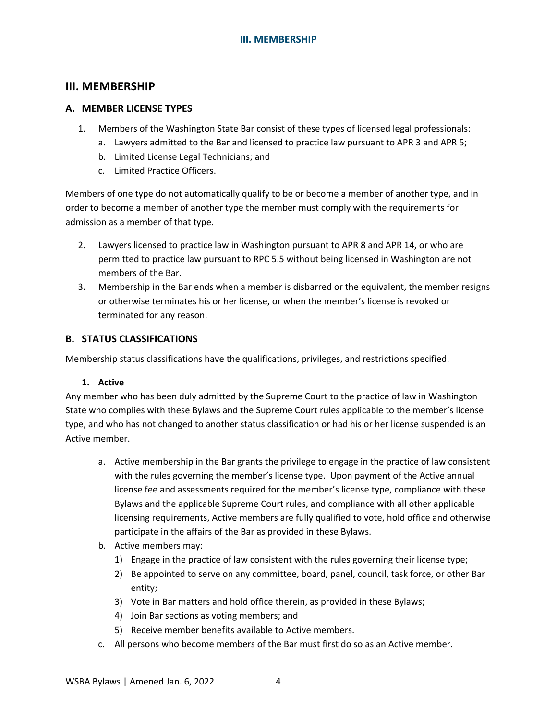### <span id="page-7-1"></span><span id="page-7-0"></span>**A. MEMBER LICENSE TYPES**

- 1. Members of the Washington State Bar consist of these types of licensed legal professionals:
	- a. Lawyers admitted to the Bar and licensed to practice law pursuant to APR 3 and APR 5;
	- b. Limited License Legal Technicians; and
	- c. Limited Practice Officers.

Members of one type do not automatically qualify to be or become a member of another type, and in order to become a member of another type the member must comply with the requirements for admission as a member of that type.

- 2. Lawyers licensed to practice law in Washington pursuant to APR 8 and APR 14, or who are permitted to practice law pursuant to RPC 5.5 without being licensed in Washington are not members of the Bar.
- 3. Membership in the Bar ends when a member is disbarred or the equivalent, the member resigns or otherwise terminates his or her license, or when the member's license is revoked or terminated for any reason.

### <span id="page-7-2"></span>**B. STATUS CLASSIFICATIONS**

Membership status classifications have the qualifications, privileges, and restrictions specified.

#### **1. Active**

<span id="page-7-3"></span>Any member who has been duly admitted by the Supreme Court to the practice of law in Washington State who complies with these Bylaws and the Supreme Court rules applicable to the member's license type, and who has not changed to another status classification or had his or her license suspended is an Active member.

- a. Active membership in the Bar grants the privilege to engage in the practice of law consistent with the rules governing the member's license type. Upon payment of the Active annual license fee and assessments required for the member's license type, compliance with these Bylaws and the applicable Supreme Court rules, and compliance with all other applicable licensing requirements, Active members are fully qualified to vote, hold office and otherwise participate in the affairs of the Bar as provided in these Bylaws.
- b. Active members may:
	- 1) Engage in the practice of law consistent with the rules governing their license type;
	- 2) Be appointed to serve on any committee, board, panel, council, task force, or other Bar entity;
	- 3) Vote in Bar matters and hold office therein, as provided in these Bylaws;
	- 4) Join Bar sections as voting members; and
	- 5) Receive member benefits available to Active members.
- c. All persons who become members of the Bar must first do so as an Active member.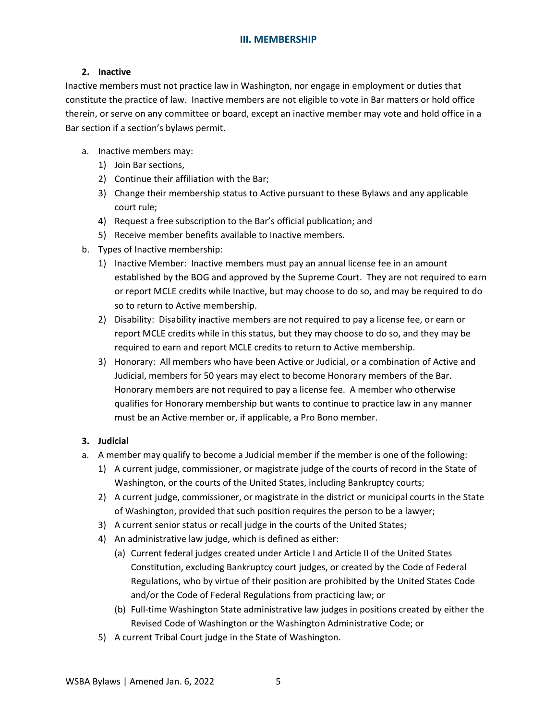#### <span id="page-8-0"></span>**2. Inactive**

Inactive members must not practice law in Washington, nor engage in employment or duties that constitute the practice of law. Inactive members are not eligible to vote in Bar matters or hold office therein, or serve on any committee or board, except an inactive member may vote and hold office in a Bar section if a section's bylaws permit.

- a. Inactive members may:
	- 1) Join Bar sections,
	- 2) Continue their affiliation with the Bar;
	- 3) Change their membership status to Active pursuant to these Bylaws and any applicable court rule;
	- 4) Request a free subscription to the Bar's official publication; and
	- 5) Receive member benefits available to Inactive members.
- b. Types of Inactive membership:
	- 1) Inactive Member: Inactive members must pay an annual license fee in an amount established by the BOG and approved by the Supreme Court. They are not required to earn or report MCLE credits while Inactive, but may choose to do so, and may be required to do so to return to Active membership.
	- 2) Disability: Disability inactive members are not required to pay a license fee, or earn or report MCLE credits while in this status, but they may choose to do so, and they may be required to earn and report MCLE credits to return to Active membership.
	- 3) Honorary: All members who have been Active or Judicial, or a combination of Active and Judicial, members for 50 years may elect to become Honorary members of the Bar. Honorary members are not required to pay a license fee. A member who otherwise qualifies for Honorary membership but wants to continue to practice law in any manner must be an Active member or, if applicable, a Pro Bono member.

#### <span id="page-8-1"></span>**3. Judicial**

- a. A member may qualify to become a Judicial member if the member is one of the following:
	- 1) A current judge, commissioner, or magistrate judge of the courts of record in the State of Washington, or the courts of the United States, including Bankruptcy courts;
	- 2) A current judge, commissioner, or magistrate in the district or municipal courts in the State of Washington, provided that such position requires the person to be a lawyer;
	- 3) A current senior status or recall judge in the courts of the United States;
	- 4) An administrative law judge, which is defined as either:
		- (a) Current federal judges created under Article I and Article II of the United States Constitution, excluding Bankruptcy court judges, or created by the Code of Federal Regulations, who by virtue of their position are prohibited by the United States Code and/or the Code of Federal Regulations from practicing law; or
		- (b) Full-time Washington State administrative law judges in positions created by either the Revised Code of Washington or the Washington Administrative Code; or
	- 5) A current Tribal Court judge in the State of Washington.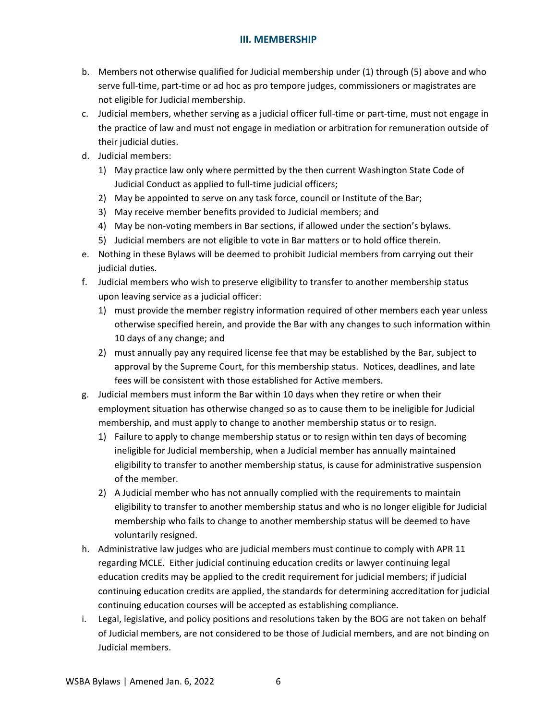- b. Members not otherwise qualified for Judicial membership under (1) through (5) above and who serve full-time, part-time or ad hoc as pro tempore judges, commissioners or magistrates are not eligible for Judicial membership.
- c. Judicial members, whether serving as a judicial officer full-time or part-time, must not engage in the practice of law and must not engage in mediation or arbitration for remuneration outside of their judicial duties.
- d. Judicial members:
	- 1) May practice law only where permitted by the then current Washington State Code of Judicial Conduct as applied to full-time judicial officers;
	- 2) May be appointed to serve on any task force, council or Institute of the Bar;
	- 3) May receive member benefits provided to Judicial members; and
	- 4) May be non-voting members in Bar sections, if allowed under the section's bylaws.
	- 5) Judicial members are not eligible to vote in Bar matters or to hold office therein.
- e. Nothing in these Bylaws will be deemed to prohibit Judicial members from carrying out their judicial duties.
- f. Judicial members who wish to preserve eligibility to transfer to another membership status upon leaving service as a judicial officer:
	- 1) must provide the member registry information required of other members each year unless otherwise specified herein, and provide the Bar with any changes to such information within 10 days of any change; and
	- 2) must annually pay any required license fee that may be established by the Bar, subject to approval by the Supreme Court, for this membership status. Notices, deadlines, and late fees will be consistent with those established for Active members.
- g. Judicial members must inform the Bar within 10 days when they retire or when their employment situation has otherwise changed so as to cause them to be ineligible for Judicial membership, and must apply to change to another membership status or to resign.
	- 1) Failure to apply to change membership status or to resign within ten days of becoming ineligible for Judicial membership, when a Judicial member has annually maintained eligibility to transfer to another membership status, is cause for administrative suspension of the member.
	- 2) A Judicial member who has not annually complied with the requirements to maintain eligibility to transfer to another membership status and who is no longer eligible for Judicial membership who fails to change to another membership status will be deemed to have voluntarily resigned.
- h. Administrative law judges who are judicial members must continue to comply with APR 11 regarding MCLE. Either judicial continuing education credits or lawyer continuing legal education credits may be applied to the credit requirement for judicial members; if judicial continuing education credits are applied, the standards for determining accreditation for judicial continuing education courses will be accepted as establishing compliance.
- i. Legal, legislative, and policy positions and resolutions taken by the BOG are not taken on behalf of Judicial members, are not considered to be those of Judicial members, and are not binding on Judicial members.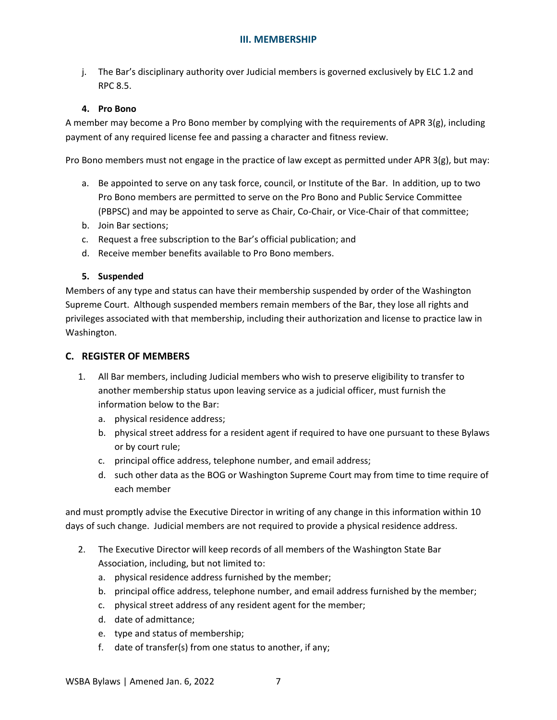j. The Bar's disciplinary authority over Judicial members is governed exclusively by ELC 1.2 and RPC 8.5.

### <span id="page-10-0"></span>**4. Pro Bono**

A member may become a Pro Bono member by complying with the requirements of APR 3(g), including payment of any required license fee and passing a character and fitness review.

Pro Bono members must not engage in the practice of law except as permitted under APR 3(g), but may:

- a. Be appointed to serve on any task force, council, or Institute of the Bar. In addition, up to two Pro Bono members are permitted to serve on the Pro Bono and Public Service Committee (PBPSC) and may be appointed to serve as Chair, Co-Chair, or Vice-Chair of that committee;
- b. Join Bar sections;
- c. Request a free subscription to the Bar's official publication; and
- d. Receive member benefits available to Pro Bono members.

### <span id="page-10-1"></span>**5. Suspended**

Members of any type and status can have their membership suspended by order of the Washington Supreme Court. Although suspended members remain members of the Bar, they lose all rights and privileges associated with that membership, including their authorization and license to practice law in Washington.

### <span id="page-10-2"></span>**C. REGISTER OF MEMBERS**

- 1. All Bar members, including Judicial members who wish to preserve eligibility to transfer to another membership status upon leaving service as a judicial officer, must furnish the information below to the Bar:
	- a. physical residence address;
	- b. physical street address for a resident agent if required to have one pursuant to these Bylaws or by court rule;
	- c. principal office address, telephone number, and email address;
	- d. such other data as the BOG or Washington Supreme Court may from time to time require of each member

and must promptly advise the Executive Director in writing of any change in this information within 10 days of such change. Judicial members are not required to provide a physical residence address.

- 2. The Executive Director will keep records of all members of the Washington State Bar Association, including, but not limited to:
	- a. physical residence address furnished by the member;
	- b. principal office address, telephone number, and email address furnished by the member;
	- c. physical street address of any resident agent for the member;
	- d. date of admittance;
	- e. type and status of membership;
	- f. date of transfer(s) from one status to another, if any;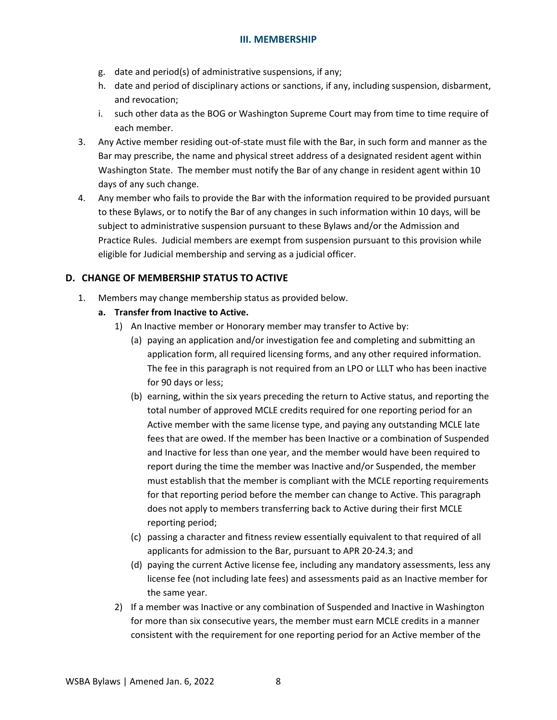- g. date and period(s) of administrative suspensions, if any;
- h. date and period of disciplinary actions or sanctions, if any, including suspension, disbarment, and revocation;
- i. such other data as the BOG or Washington Supreme Court may from time to time require of each member.
- 3. Any Active member residing out-of-state must file with the Bar, in such form and manner as the Bar may prescribe, the name and physical street address of a designated resident agent within Washington State. The member must notify the Bar of any change in resident agent within 10 days of any such change.
- 4. Any member who fails to provide the Bar with the information required to be provided pursuant to these Bylaws, or to notify the Bar of any changes in such information within 10 days, will be subject to administrative suspension pursuant to these Bylaws and/or the Admission and Practice Rules. Judicial members are exempt from suspension pursuant to this provision while eligible for Judicial membership and serving as a judicial officer.

# <span id="page-11-0"></span>**D. CHANGE OF MEMBERSHIP STATUS TO ACTIVE**

- 1. Members may change membership status as provided below.
	- **a. Transfer from Inactive to Active.**
		- 1) An Inactive member or Honorary member may transfer to Active by:
			- (a) paying an application and/or investigation fee and completing and submitting an application form, all required licensing forms, and any other required information. The fee in this paragraph is not required from an LPO or LLLT who has been inactive for 90 days or less;
			- (b) earning, within the six years preceding the return to Active status, and reporting the total number of approved MCLE credits required for one reporting period for an Active member with the same license type, and paying any outstanding MCLE late fees that are owed. If the member has been Inactive or a combination of Suspended and Inactive for less than one year, and the member would have been required to report during the time the member was Inactive and/or Suspended, the member must establish that the member is compliant with the MCLE reporting requirements for that reporting period before the member can change to Active. This paragraph does not apply to members transferring back to Active during their first MCLE reporting period;
			- (c) passing a character and fitness review essentially equivalent to that required of all applicants for admission to the Bar, pursuant to APR 20-24.3; and
			- (d) paying the current Active license fee, including any mandatory assessments, less any license fee (not including late fees) and assessments paid as an Inactive member for the same year.
		- 2) If a member was Inactive or any combination of Suspended and Inactive in Washington for more than six consecutive years, the member must earn MCLE credits in a manner consistent with the requirement for one reporting period for an Active member of the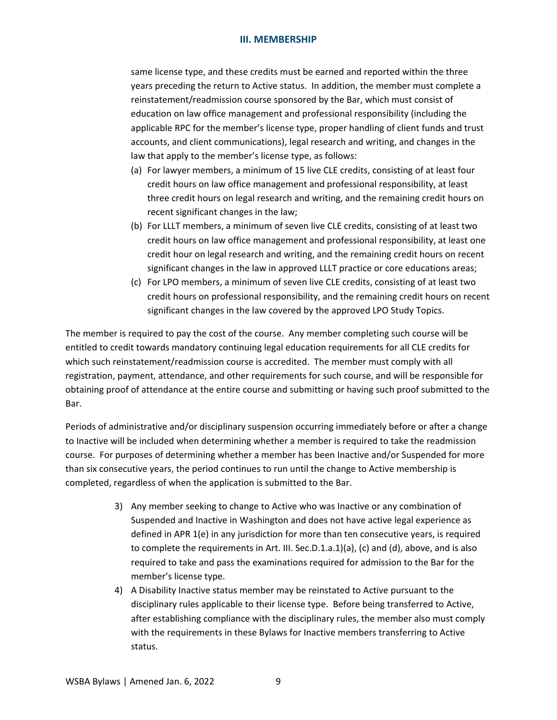same license type, and these credits must be earned and reported within the three years preceding the return to Active status. In addition, the member must complete a reinstatement/readmission course sponsored by the Bar, which must consist of education on law office management and professional responsibility (including the applicable RPC for the member's license type, proper handling of client funds and trust accounts, and client communications), legal research and writing, and changes in the law that apply to the member's license type, as follows:

- (a) For lawyer members, a minimum of 15 live CLE credits, consisting of at least four credit hours on law office management and professional responsibility, at least three credit hours on legal research and writing, and the remaining credit hours on recent significant changes in the law;
- (b) For LLLT members, a minimum of seven live CLE credits, consisting of at least two credit hours on law office management and professional responsibility, at least one credit hour on legal research and writing, and the remaining credit hours on recent significant changes in the law in approved LLLT practice or core educations areas;
- (c) For LPO members, a minimum of seven live CLE credits, consisting of at least two credit hours on professional responsibility, and the remaining credit hours on recent significant changes in the law covered by the approved LPO Study Topics.

The member is required to pay the cost of the course. Any member completing such course will be entitled to credit towards mandatory continuing legal education requirements for all CLE credits for which such reinstatement/readmission course is accredited. The member must comply with all registration, payment, attendance, and other requirements for such course, and will be responsible for obtaining proof of attendance at the entire course and submitting or having such proof submitted to the Bar.

Periods of administrative and/or disciplinary suspension occurring immediately before or after a change to Inactive will be included when determining whether a member is required to take the readmission course. For purposes of determining whether a member has been Inactive and/or Suspended for more than six consecutive years, the period continues to run until the change to Active membership is completed, regardless of when the application is submitted to the Bar.

- 3) Any member seeking to change to Active who was Inactive or any combination of Suspended and Inactive in Washington and does not have active legal experience as defined in APR 1(e) in any jurisdiction for more than ten consecutive years, is required to complete the requirements in Art. III. Sec.D.1.a.1)(a), (c) and (d), above, and is also required to take and pass the examinations required for admission to the Bar for the member's license type.
- 4) A Disability Inactive status member may be reinstated to Active pursuant to the disciplinary rules applicable to their license type. Before being transferred to Active, after establishing compliance with the disciplinary rules, the member also must comply with the requirements in these Bylaws for Inactive members transferring to Active status.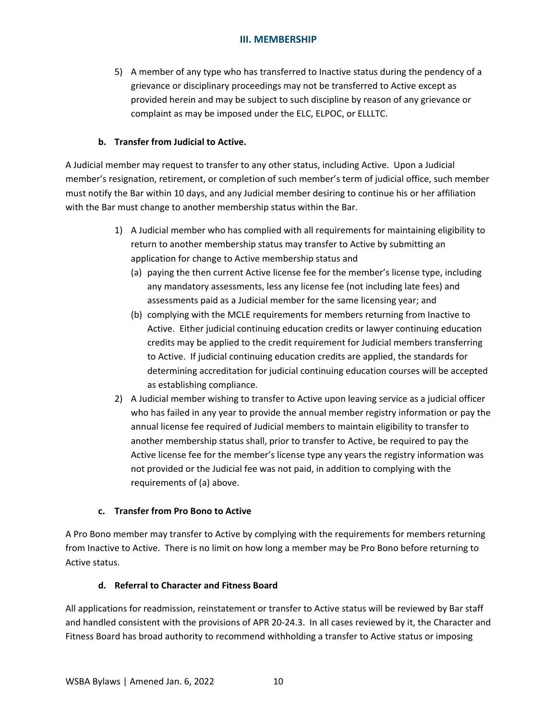5) A member of any type who has transferred to Inactive status during the pendency of a grievance or disciplinary proceedings may not be transferred to Active except as provided herein and may be subject to such discipline by reason of any grievance or complaint as may be imposed under the ELC, ELPOC, or ELLLTC.

# **b. Transfer from Judicial to Active.**

A Judicial member may request to transfer to any other status, including Active. Upon a Judicial member's resignation, retirement, or completion of such member's term of judicial office, such member must notify the Bar within 10 days, and any Judicial member desiring to continue his or her affiliation with the Bar must change to another membership status within the Bar.

- 1) A Judicial member who has complied with all requirements for maintaining eligibility to return to another membership status may transfer to Active by submitting an application for change to Active membership status and
	- (a) paying the then current Active license fee for the member's license type, including any mandatory assessments, less any license fee (not including late fees) and assessments paid as a Judicial member for the same licensing year; and
	- (b) complying with the MCLE requirements for members returning from Inactive to Active. Either judicial continuing education credits or lawyer continuing education credits may be applied to the credit requirement for Judicial members transferring to Active. If judicial continuing education credits are applied, the standards for determining accreditation for judicial continuing education courses will be accepted as establishing compliance.
- 2) A Judicial member wishing to transfer to Active upon leaving service as a judicial officer who has failed in any year to provide the annual member registry information or pay the annual license fee required of Judicial members to maintain eligibility to transfer to another membership status shall, prior to transfer to Active, be required to pay the Active license fee for the member's license type any years the registry information was not provided or the Judicial fee was not paid, in addition to complying with the requirements of (a) above.

## **c. Transfer from Pro Bono to Active**

A Pro Bono member may transfer to Active by complying with the requirements for members returning from Inactive to Active. There is no limit on how long a member may be Pro Bono before returning to Active status.

## **d. Referral to Character and Fitness Board**

All applications for readmission, reinstatement or transfer to Active status will be reviewed by Bar staff and handled consistent with the provisions of APR 20-24.3. In all cases reviewed by it, the Character and Fitness Board has broad authority to recommend withholding a transfer to Active status or imposing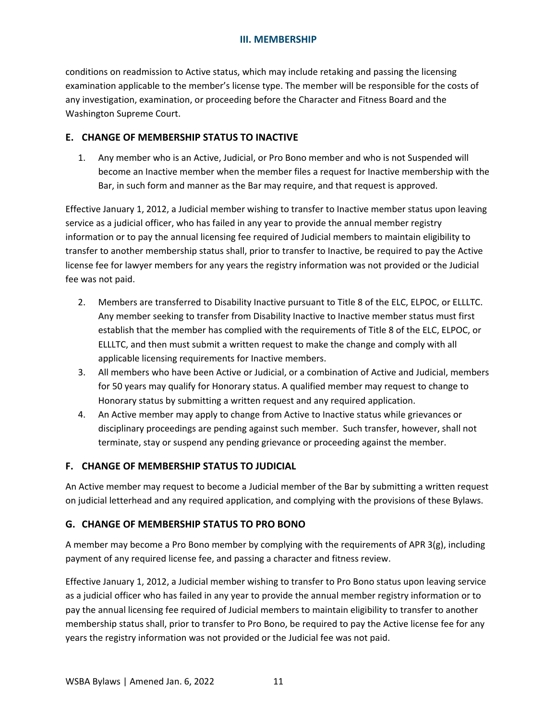conditions on readmission to Active status, which may include retaking and passing the licensing examination applicable to the member's license type. The member will be responsible for the costs of any investigation, examination, or proceeding before the Character and Fitness Board and the Washington Supreme Court.

# <span id="page-14-0"></span>**E. CHANGE OF MEMBERSHIP STATUS TO INACTIVE**

1. Any member who is an Active, Judicial, or Pro Bono member and who is not Suspended will become an Inactive member when the member files a request for Inactive membership with the Bar, in such form and manner as the Bar may require, and that request is approved.

Effective January 1, 2012, a Judicial member wishing to transfer to Inactive member status upon leaving service as a judicial officer, who has failed in any year to provide the annual member registry information or to pay the annual licensing fee required of Judicial members to maintain eligibility to transfer to another membership status shall, prior to transfer to Inactive, be required to pay the Active license fee for lawyer members for any years the registry information was not provided or the Judicial fee was not paid.

- 2. Members are transferred to Disability Inactive pursuant to Title 8 of the ELC, ELPOC, or ELLLTC. Any member seeking to transfer from Disability Inactive to Inactive member status must first establish that the member has complied with the requirements of Title 8 of the ELC, ELPOC, or ELLLTC, and then must submit a written request to make the change and comply with all applicable licensing requirements for Inactive members.
- 3. All members who have been Active or Judicial, or a combination of Active and Judicial, members for 50 years may qualify for Honorary status. A qualified member may request to change to Honorary status by submitting a written request and any required application.
- 4. An Active member may apply to change from Active to Inactive status while grievances or disciplinary proceedings are pending against such member. Such transfer, however, shall not terminate, stay or suspend any pending grievance or proceeding against the member.

## <span id="page-14-1"></span>**F. CHANGE OF MEMBERSHIP STATUS TO JUDICIAL**

An Active member may request to become a Judicial member of the Bar by submitting a written request on judicial letterhead and any required application, and complying with the provisions of these Bylaws.

# <span id="page-14-2"></span>**G. CHANGE OF MEMBERSHIP STATUS TO PRO BONO**

A member may become a Pro Bono member by complying with the requirements of APR  $3(g)$ , including payment of any required license fee, and passing a character and fitness review.

Effective January 1, 2012, a Judicial member wishing to transfer to Pro Bono status upon leaving service as a judicial officer who has failed in any year to provide the annual member registry information or to pay the annual licensing fee required of Judicial members to maintain eligibility to transfer to another membership status shall, prior to transfer to Pro Bono, be required to pay the Active license fee for any years the registry information was not provided or the Judicial fee was not paid.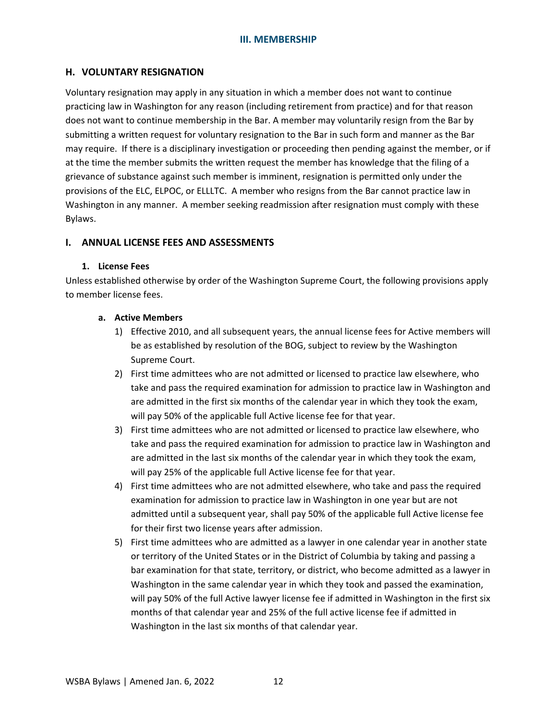## <span id="page-15-0"></span>**H. VOLUNTARY RESIGNATION**

Voluntary resignation may apply in any situation in which a member does not want to continue practicing law in Washington for any reason (including retirement from practice) and for that reason does not want to continue membership in the Bar. A member may voluntarily resign from the Bar by submitting a written request for voluntary resignation to the Bar in such form and manner as the Bar may require. If there is a disciplinary investigation or proceeding then pending against the member, or if at the time the member submits the written request the member has knowledge that the filing of a grievance of substance against such member is imminent, resignation is permitted only under the provisions of the ELC, ELPOC, or ELLLTC. A member who resigns from the Bar cannot practice law in Washington in any manner. A member seeking readmission after resignation must comply with these Bylaws.

## <span id="page-15-1"></span>**I. ANNUAL LICENSE FEES AND ASSESSMENTS**

### <span id="page-15-2"></span>**1. License Fees**

Unless established otherwise by order of the Washington Supreme Court, the following provisions apply to member license fees.

### **a. Active Members**

- 1) Effective 2010, and all subsequent years, the annual license fees for Active members will be as established by resolution of the BOG, subject to review by the Washington Supreme Court.
- 2) First time admittees who are not admitted or licensed to practice law elsewhere, who take and pass the required examination for admission to practice law in Washington and are admitted in the first six months of the calendar year in which they took the exam, will pay 50% of the applicable full Active license fee for that year.
- 3) First time admittees who are not admitted or licensed to practice law elsewhere, who take and pass the required examination for admission to practice law in Washington and are admitted in the last six months of the calendar year in which they took the exam, will pay 25% of the applicable full Active license fee for that year.
- 4) First time admittees who are not admitted elsewhere, who take and pass the required examination for admission to practice law in Washington in one year but are not admitted until a subsequent year, shall pay 50% of the applicable full Active license fee for their first two license years after admission.
- 5) First time admittees who are admitted as a lawyer in one calendar year in another state or territory of the United States or in the District of Columbia by taking and passing a bar examination for that state, territory, or district, who become admitted as a lawyer in Washington in the same calendar year in which they took and passed the examination, will pay 50% of the full Active lawyer license fee if admitted in Washington in the first six months of that calendar year and 25% of the full active license fee if admitted in Washington in the last six months of that calendar year.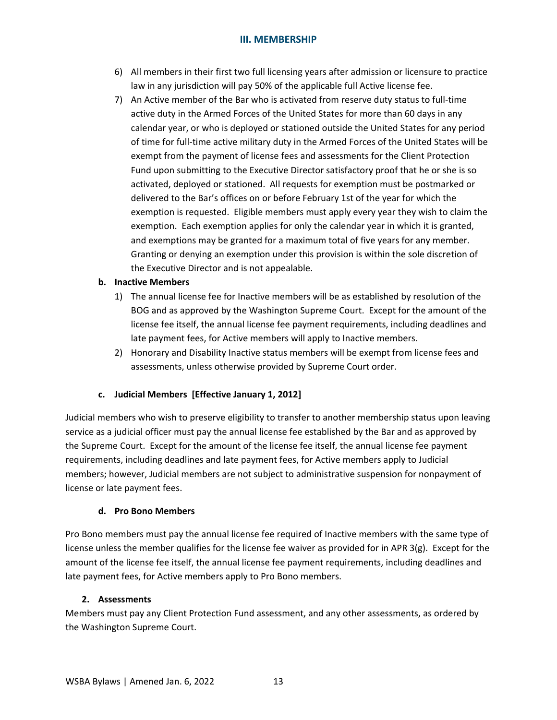- 6) All members in their first two full licensing years after admission or licensure to practice law in any jurisdiction will pay 50% of the applicable full Active license fee.
- 7) An Active member of the Bar who is activated from reserve duty status to full-time active duty in the Armed Forces of the United States for more than 60 days in any calendar year, or who is deployed or stationed outside the United States for any period of time for full-time active military duty in the Armed Forces of the United States will be exempt from the payment of license fees and assessments for the Client Protection Fund upon submitting to the Executive Director satisfactory proof that he or she is so activated, deployed or stationed. All requests for exemption must be postmarked or delivered to the Bar's offices on or before February 1st of the year for which the exemption is requested. Eligible members must apply every year they wish to claim the exemption. Each exemption applies for only the calendar year in which it is granted, and exemptions may be granted for a maximum total of five years for any member. Granting or denying an exemption under this provision is within the sole discretion of the Executive Director and is not appealable.

### **b. Inactive Members**

- 1) The annual license fee for Inactive members will be as established by resolution of the BOG and as approved by the Washington Supreme Court. Except for the amount of the license fee itself, the annual license fee payment requirements, including deadlines and late payment fees, for Active members will apply to Inactive members.
- 2) Honorary and Disability Inactive status members will be exempt from license fees and assessments, unless otherwise provided by Supreme Court order.

## **c. Judicial Members [Effective January 1, 2012]**

Judicial members who wish to preserve eligibility to transfer to another membership status upon leaving service as a judicial officer must pay the annual license fee established by the Bar and as approved by the Supreme Court. Except for the amount of the license fee itself, the annual license fee payment requirements, including deadlines and late payment fees, for Active members apply to Judicial members; however, Judicial members are not subject to administrative suspension for nonpayment of license or late payment fees.

## **d. Pro Bono Members**

Pro Bono members must pay the annual license fee required of Inactive members with the same type of license unless the member qualifies for the license fee waiver as provided for in APR 3(g). Except for the amount of the license fee itself, the annual license fee payment requirements, including deadlines and late payment fees, for Active members apply to Pro Bono members.

#### <span id="page-16-0"></span>**2. Assessments**

Members must pay any Client Protection Fund assessment, and any other assessments, as ordered by the Washington Supreme Court.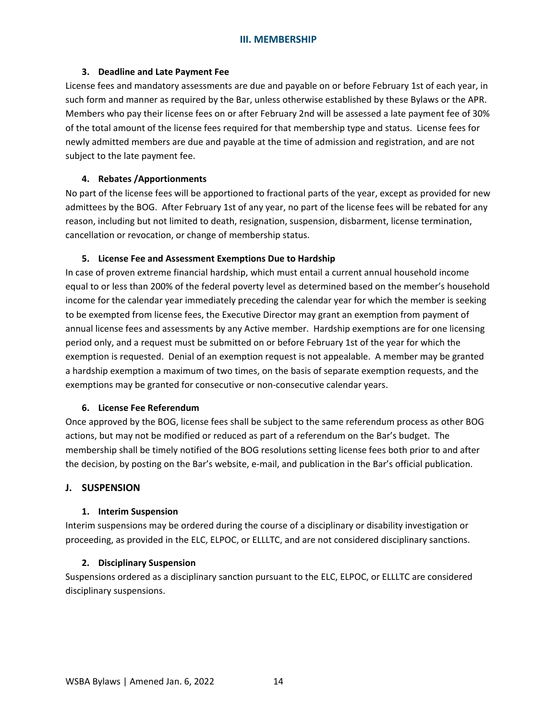### <span id="page-17-0"></span>**3. Deadline and Late Payment Fee**

License fees and mandatory assessments are due and payable on or before February 1st of each year, in such form and manner as required by the Bar, unless otherwise established by these Bylaws or the APR. Members who pay their license fees on or after February 2nd will be assessed a late payment fee of 30% of the total amount of the license fees required for that membership type and status. License fees for newly admitted members are due and payable at the time of admission and registration, and are not subject to the late payment fee.

### <span id="page-17-1"></span>**4. Rebates /Apportionments**

No part of the license fees will be apportioned to fractional parts of the year, except as provided for new admittees by the BOG. After February 1st of any year, no part of the license fees will be rebated for any reason, including but not limited to death, resignation, suspension, disbarment, license termination, cancellation or revocation, or change of membership status.

#### <span id="page-17-2"></span>**5. License Fee and Assessment Exemptions Due to Hardship**

In case of proven extreme financial hardship, which must entail a current annual household income equal to or less than 200% of the federal poverty level as determined based on the member's household income for the calendar year immediately preceding the calendar year for which the member is seeking to be exempted from license fees, the Executive Director may grant an exemption from payment of annual license fees and assessments by any Active member. Hardship exemptions are for one licensing period only, and a request must be submitted on or before February 1st of the year for which the exemption is requested. Denial of an exemption request is not appealable. A member may be granted a hardship exemption a maximum of two times, on the basis of separate exemption requests, and the exemptions may be granted for consecutive or non-consecutive calendar years.

#### <span id="page-17-3"></span>**6. License Fee Referendum**

Once approved by the BOG, license fees shall be subject to the same referendum process as other BOG actions, but may not be modified or reduced as part of a referendum on the Bar's budget. The membership shall be timely notified of the BOG resolutions setting license fees both prior to and after the decision, by posting on the Bar's website, e-mail, and publication in the Bar's official publication.

## <span id="page-17-4"></span>**J. SUSPENSION**

#### <span id="page-17-5"></span>**1. Interim Suspension**

Interim suspensions may be ordered during the course of a disciplinary or disability investigation or proceeding, as provided in the ELC, ELPOC, or ELLLTC, and are not considered disciplinary sanctions.

#### <span id="page-17-6"></span>**2. Disciplinary Suspension**

Suspensions ordered as a disciplinary sanction pursuant to the ELC, ELPOC, or ELLLTC are considered disciplinary suspensions.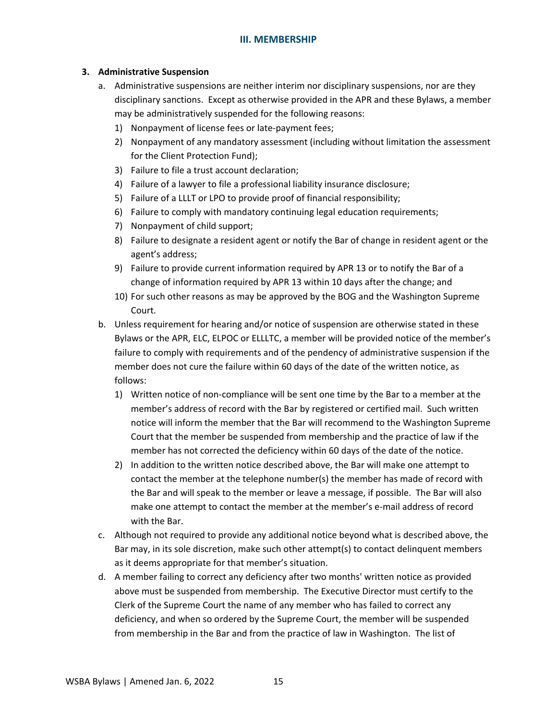### <span id="page-18-0"></span>**3. Administrative Suspension**

- a. Administrative suspensions are neither interim nor disciplinary suspensions, nor are they disciplinary sanctions. Except as otherwise provided in the APR and these Bylaws, a member may be administratively suspended for the following reasons:
	- 1) Nonpayment of license fees or late-payment fees;
	- 2) Nonpayment of any mandatory assessment (including without limitation the assessment for the Client Protection Fund);
	- 3) Failure to file a trust account declaration;
	- 4) Failure of a lawyer to file a professional liability insurance disclosure;
	- 5) Failure of a LLLT or LPO to provide proof of financial responsibility;
	- 6) Failure to comply with mandatory continuing legal education requirements;
	- 7) Nonpayment of child support;
	- 8) Failure to designate a resident agent or notify the Bar of change in resident agent or the agent's address;
	- 9) Failure to provide current information required by APR 13 or to notify the Bar of a change of information required by APR 13 within 10 days after the change; and
	- 10) For such other reasons as may be approved by the BOG and the Washington Supreme Court.
- b. Unless requirement for hearing and/or notice of suspension are otherwise stated in these Bylaws or the APR, ELC, ELPOC or ELLLTC, a member will be provided notice of the member's failure to comply with requirements and of the pendency of administrative suspension if the member does not cure the failure within 60 days of the date of the written notice, as follows:
	- 1) Written notice of non-compliance will be sent one time by the Bar to a member at the member's address of record with the Bar by registered or certified mail. Such written notice will inform the member that the Bar will recommend to the Washington Supreme Court that the member be suspended from membership and the practice of law if the member has not corrected the deficiency within 60 days of the date of the notice.
	- 2) In addition to the written notice described above, the Bar will make one attempt to contact the member at the telephone number(s) the member has made of record with the Bar and will speak to the member or leave a message, if possible. The Bar will also make one attempt to contact the member at the member's e-mail address of record with the Bar.
- c. Although not required to provide any additional notice beyond what is described above, the Bar may, in its sole discretion, make such other attempt(s) to contact delinquent members as it deems appropriate for that member's situation.
- d. A member failing to correct any deficiency after two months' written notice as provided above must be suspended from membership. The Executive Director must certify to the Clerk of the Supreme Court the name of any member who has failed to correct any deficiency, and when so ordered by the Supreme Court, the member will be suspended from membership in the Bar and from the practice of law in Washington. The list of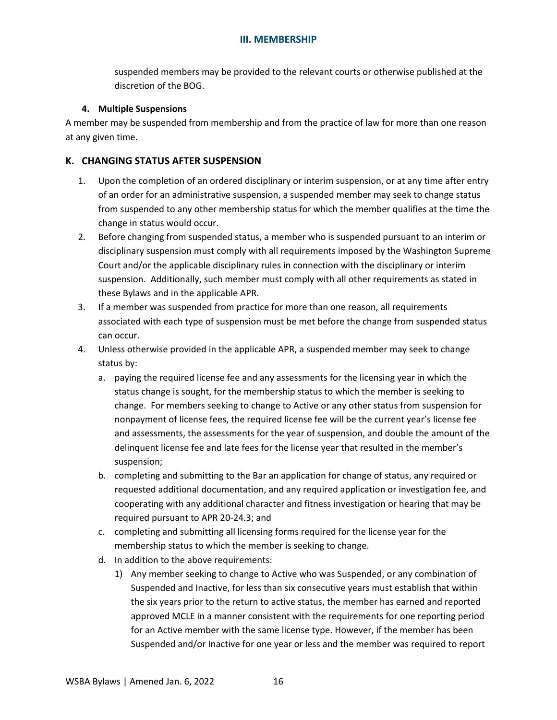suspended members may be provided to the relevant courts or otherwise published at the discretion of the BOG.

#### <span id="page-19-0"></span>**4. Multiple Suspensions**

A member may be suspended from membership and from the practice of law for more than one reason at any given time.

## <span id="page-19-1"></span>**K. CHANGING STATUS AFTER SUSPENSION**

- 1. Upon the completion of an ordered disciplinary or interim suspension, or at any time after entry of an order for an administrative suspension, a suspended member may seek to change status from suspended to any other membership status for which the member qualifies at the time the change in status would occur.
- 2. Before changing from suspended status, a member who is suspended pursuant to an interim or disciplinary suspension must comply with all requirements imposed by the Washington Supreme Court and/or the applicable disciplinary rules in connection with the disciplinary or interim suspension. Additionally, such member must comply with all other requirements as stated in these Bylaws and in the applicable APR.
- 3. If a member was suspended from practice for more than one reason, all requirements associated with each type of suspension must be met before the change from suspended status can occur.
- 4. Unless otherwise provided in the applicable APR, a suspended member may seek to change status by:
	- a. paying the required license fee and any assessments for the licensing year in which the status change is sought, for the membership status to which the member is seeking to change. For members seeking to change to Active or any other status from suspension for nonpayment of license fees, the required license fee will be the current year's license fee and assessments, the assessments for the year of suspension, and double the amount of the delinquent license fee and late fees for the license year that resulted in the member's suspension;
	- b. completing and submitting to the Bar an application for change of status, any required or requested additional documentation, and any required application or investigation fee, and cooperating with any additional character and fitness investigation or hearing that may be required pursuant to APR 20-24.3; and
	- c. completing and submitting all licensing forms required for the license year for the membership status to which the member is seeking to change.
	- d. In addition to the above requirements:
		- 1) Any member seeking to change to Active who was Suspended, or any combination of Suspended and Inactive, for less than six consecutive years must establish that within the six years prior to the return to active status, the member has earned and reported approved MCLE in a manner consistent with the requirements for one reporting period for an Active member with the same license type. However, if the member has been Suspended and/or Inactive for one year or less and the member was required to report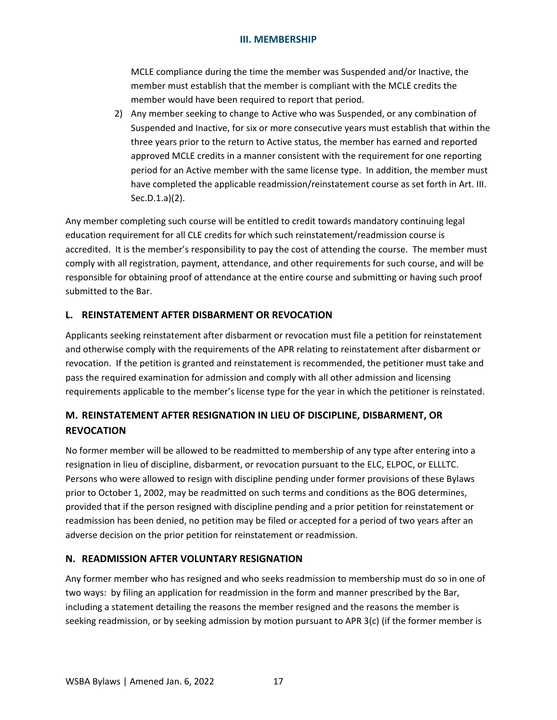MCLE compliance during the time the member was Suspended and/or Inactive, the member must establish that the member is compliant with the MCLE credits the member would have been required to report that period.

2) Any member seeking to change to Active who was Suspended, or any combination of Suspended and Inactive, for six or more consecutive years must establish that within the three years prior to the return to Active status, the member has earned and reported approved MCLE credits in a manner consistent with the requirement for one reporting period for an Active member with the same license type. In addition, the member must have completed the applicable readmission/reinstatement course as set forth in Art. III. Sec.D.1.a)(2).

Any member completing such course will be entitled to credit towards mandatory continuing legal education requirement for all CLE credits for which such reinstatement/readmission course is accredited. It is the member's responsibility to pay the cost of attending the course. The member must comply with all registration, payment, attendance, and other requirements for such course, and will be responsible for obtaining proof of attendance at the entire course and submitting or having such proof submitted to the Bar.

# <span id="page-20-0"></span>**L. REINSTATEMENT AFTER DISBARMENT OR REVOCATION**

Applicants seeking reinstatement after disbarment or revocation must file a petition for reinstatement and otherwise comply with the requirements of the APR relating to reinstatement after disbarment or revocation. If the petition is granted and reinstatement is recommended, the petitioner must take and pass the required examination for admission and comply with all other admission and licensing requirements applicable to the member's license type for the year in which the petitioner is reinstated.

# <span id="page-20-1"></span>**M. REINSTATEMENT AFTER RESIGNATION IN LIEU OF DISCIPLINE, DISBARMENT, OR REVOCATION**

No former member will be allowed to be readmitted to membership of any type after entering into a resignation in lieu of discipline, disbarment, or revocation pursuant to the ELC, ELPOC, or ELLLTC. Persons who were allowed to resign with discipline pending under former provisions of these Bylaws prior to October 1, 2002, may be readmitted on such terms and conditions as the BOG determines, provided that if the person resigned with discipline pending and a prior petition for reinstatement or readmission has been denied, no petition may be filed or accepted for a period of two years after an adverse decision on the prior petition for reinstatement or readmission.

## <span id="page-20-2"></span>**N. READMISSION AFTER VOLUNTARY RESIGNATION**

Any former member who has resigned and who seeks readmission to membership must do so in one of two ways: by filing an application for readmission in the form and manner prescribed by the Bar, including a statement detailing the reasons the member resigned and the reasons the member is seeking readmission, or by seeking admission by motion pursuant to APR 3(c) (if the former member is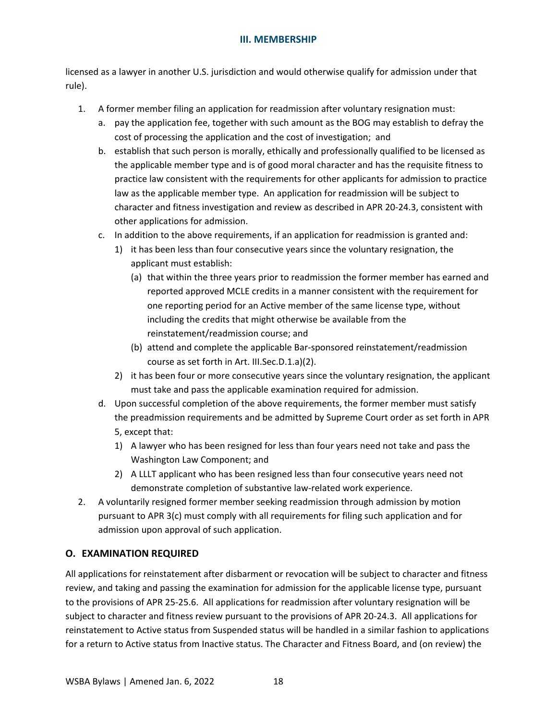licensed as a lawyer in another U.S. jurisdiction and would otherwise qualify for admission under that rule).

- 1. A former member filing an application for readmission after voluntary resignation must:
	- a. pay the application fee, together with such amount as the BOG may establish to defray the cost of processing the application and the cost of investigation; and
	- b. establish that such person is morally, ethically and professionally qualified to be licensed as the applicable member type and is of good moral character and has the requisite fitness to practice law consistent with the requirements for other applicants for admission to practice law as the applicable member type. An application for readmission will be subject to character and fitness investigation and review as described in APR 20-24.3, consistent with other applications for admission.
	- c. In addition to the above requirements, if an application for readmission is granted and:
		- 1) it has been less than four consecutive years since the voluntary resignation, the applicant must establish:
			- (a) that within the three years prior to readmission the former member has earned and reported approved MCLE credits in a manner consistent with the requirement for one reporting period for an Active member of the same license type, without including the credits that might otherwise be available from the reinstatement/readmission course; and
			- (b) attend and complete the applicable Bar-sponsored reinstatement/readmission course as set forth in Art. III.Sec.D.1.a)(2).
		- 2) it has been four or more consecutive years since the voluntary resignation, the applicant must take and pass the applicable examination required for admission.
	- d. Upon successful completion of the above requirements, the former member must satisfy the preadmission requirements and be admitted by Supreme Court order as set forth in APR 5, except that:
		- 1) A lawyer who has been resigned for less than four years need not take and pass the Washington Law Component; and
		- 2) A LLLT applicant who has been resigned less than four consecutive years need not demonstrate completion of substantive law-related work experience.
- 2. A voluntarily resigned former member seeking readmission through admission by motion pursuant to APR 3(c) must comply with all requirements for filing such application and for admission upon approval of such application.

# <span id="page-21-0"></span>**O. EXAMINATION REQUIRED**

All applications for reinstatement after disbarment or revocation will be subject to character and fitness review, and taking and passing the examination for admission for the applicable license type, pursuant to the provisions of APR 25-25.6. All applications for readmission after voluntary resignation will be subject to character and fitness review pursuant to the provisions of APR 20-24.3. All applications for reinstatement to Active status from Suspended status will be handled in a similar fashion to applications for a return to Active status from Inactive status. The Character and Fitness Board, and (on review) the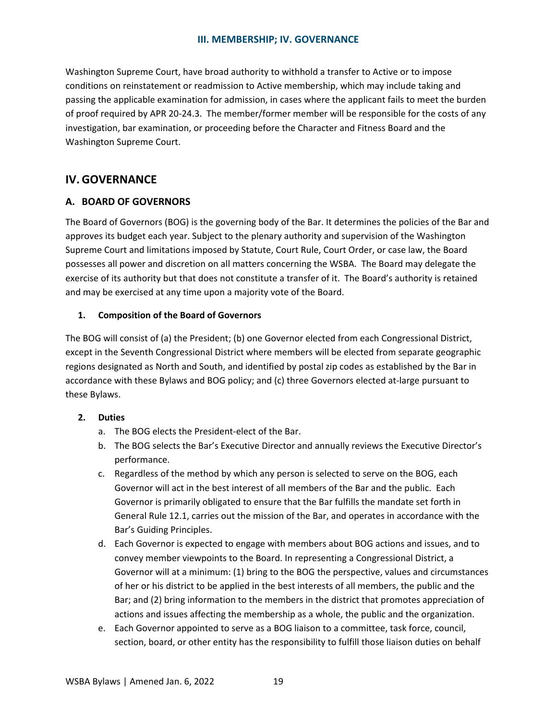### **III. MEMBERSHIP; IV. GOVERNANCE**

Washington Supreme Court, have broad authority to withhold a transfer to Active or to impose conditions on reinstatement or readmission to Active membership, which may include taking and passing the applicable examination for admission, in cases where the applicant fails to meet the burden of proof required by APR 20-24.3. The member/former member will be responsible for the costs of any investigation, bar examination, or proceeding before the Character and Fitness Board and the Washington Supreme Court.

# <span id="page-22-0"></span>**IV. GOVERNANCE**

### <span id="page-22-1"></span>**A. BOARD OF GOVERNORS**

The Board of Governors (BOG) is the governing body of the Bar. It determines the policies of the Bar and approves its budget each year. Subject to the plenary authority and supervision of the Washington Supreme Court and limitations imposed by Statute, Court Rule, Court Order, or case law, the Board possesses all power and discretion on all matters concerning the WSBA. The Board may delegate the exercise of its authority but that does not constitute a transfer of it. The Board's authority is retained and may be exercised at any time upon a majority vote of the Board.

#### **1. Composition of the Board of Governors**

The BOG will consist of (a) the President; (b) one Governor elected from each Congressional District, except in the Seventh Congressional District where members will be elected from separate geographic regions designated as North and South, and identified by postal zip codes as established by the Bar in accordance with these Bylaws and BOG policy; and (c) three Governors elected at-large pursuant to these Bylaws.

#### **2. Duties**

- a. The BOG elects the President-elect of the Bar.
- b. The BOG selects the Bar's Executive Director and annually reviews the Executive Director's performance.
- c. Regardless of the method by which any person is selected to serve on the BOG, each Governor will act in the best interest of all members of the Bar and the public. Each Governor is primarily obligated to ensure that the Bar fulfills the mandate set forth in General Rule 12.1, carries out the mission of the Bar, and operates in accordance with the Bar's Guiding Principles.
- d. Each Governor is expected to engage with members about BOG actions and issues, and to convey member viewpoints to the Board. In representing a Congressional District, a Governor will at a minimum: (1) bring to the BOG the perspective, values and circumstances of her or his district to be applied in the best interests of all members, the public and the Bar; and (2) bring information to the members in the district that promotes appreciation of actions and issues affecting the membership as a whole, the public and the organization.
- e. Each Governor appointed to serve as a BOG liaison to a committee, task force, council, section, board, or other entity has the responsibility to fulfill those liaison duties on behalf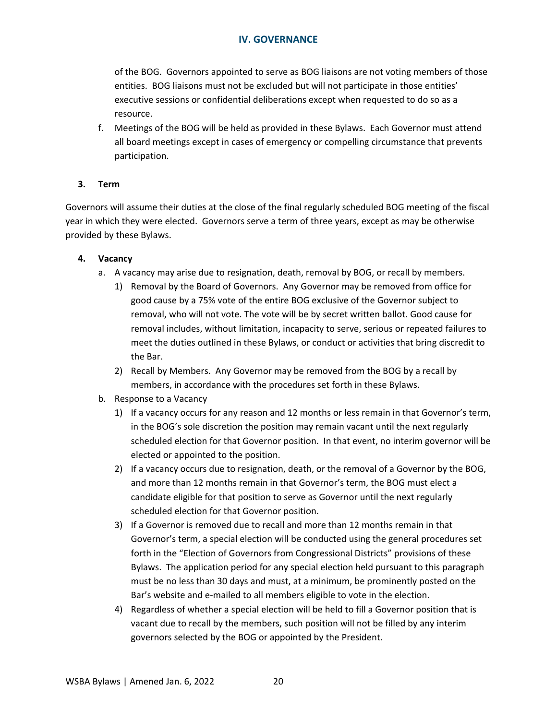of the BOG. Governors appointed to serve as BOG liaisons are not voting members of those entities. BOG liaisons must not be excluded but will not participate in those entities' executive sessions or confidential deliberations except when requested to do so as a resource.

f. Meetings of the BOG will be held as provided in these Bylaws. Each Governor must attend all board meetings except in cases of emergency or compelling circumstance that prevents participation.

### **3. Term**

Governors will assume their duties at the close of the final regularly scheduled BOG meeting of the fiscal year in which they were elected. Governors serve a term of three years, except as may be otherwise provided by these Bylaws.

### **4. Vacancy**

- a. A vacancy may arise due to resignation, death, removal by BOG, or recall by members.
	- 1) Removal by the Board of Governors. Any Governor may be removed from office for good cause by a 75% vote of the entire BOG exclusive of the Governor subject to removal, who will not vote. The vote will be by secret written ballot. Good cause for removal includes, without limitation, incapacity to serve, serious or repeated failures to meet the duties outlined in these Bylaws, or conduct or activities that bring discredit to the Bar.
	- 2) Recall by Members. Any Governor may be removed from the BOG by a recall by members, in accordance with the procedures set forth in these Bylaws.
- b. Response to a Vacancy
	- 1) If a vacancy occurs for any reason and 12 months or less remain in that Governor's term, in the BOG's sole discretion the position may remain vacant until the next regularly scheduled election for that Governor position. In that event, no interim governor will be elected or appointed to the position.
	- 2) If a vacancy occurs due to resignation, death, or the removal of a Governor by the BOG, and more than 12 months remain in that Governor's term, the BOG must elect a candidate eligible for that position to serve as Governor until the next regularly scheduled election for that Governor position.
	- 3) If a Governor is removed due to recall and more than 12 months remain in that Governor's term, a special election will be conducted using the general procedures set forth in the "Election of Governors from Congressional Districts" provisions of these Bylaws. The application period for any special election held pursuant to this paragraph must be no less than 30 days and must, at a minimum, be prominently posted on the Bar's website and e-mailed to all members eligible to vote in the election.
	- 4) Regardless of whether a special election will be held to fill a Governor position that is vacant due to recall by the members, such position will not be filled by any interim governors selected by the BOG or appointed by the President.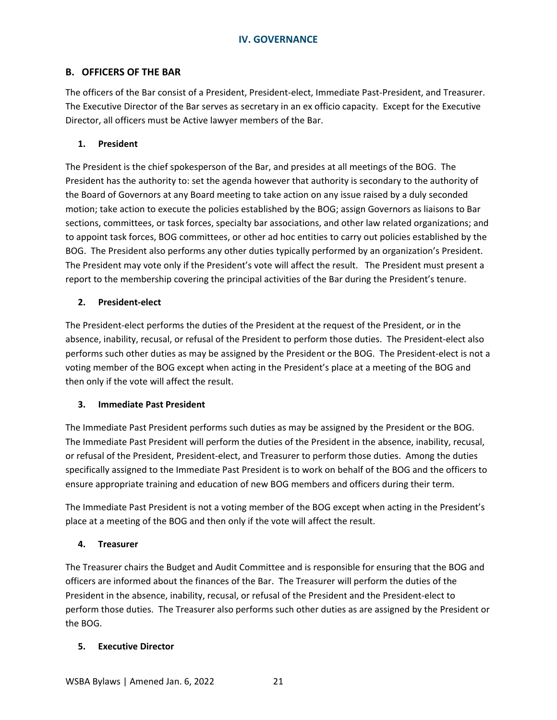### <span id="page-24-0"></span>**B. OFFICERS OF THE BAR**

The officers of the Bar consist of a President, President-elect, Immediate Past-President, and Treasurer. The Executive Director of the Bar serves as secretary in an ex officio capacity. Except for the Executive Director, all officers must be Active lawyer members of the Bar.

#### **1. President**

The President is the chief spokesperson of the Bar, and presides at all meetings of the BOG. The President has the authority to: set the agenda however that authority is secondary to the authority of the Board of Governors at any Board meeting to take action on any issue raised by a duly seconded motion; take action to execute the policies established by the BOG; assign Governors as liaisons to Bar sections, committees, or task forces, specialty bar associations, and other law related organizations; and to appoint task forces, BOG committees, or other ad hoc entities to carry out policies established by the BOG. The President also performs any other duties typically performed by an organization's President. The President may vote only if the President's vote will affect the result. The President must present a report to the membership covering the principal activities of the Bar during the President's tenure.

#### **2. President-elect**

The President-elect performs the duties of the President at the request of the President, or in the absence, inability, recusal, or refusal of the President to perform those duties. The President-elect also performs such other duties as may be assigned by the President or the BOG. The President-elect is not a voting member of the BOG except when acting in the President's place at a meeting of the BOG and then only if the vote will affect the result.

#### **3. Immediate Past President**

The Immediate Past President performs such duties as may be assigned by the President or the BOG. The Immediate Past President will perform the duties of the President in the absence, inability, recusal, or refusal of the President, President-elect, and Treasurer to perform those duties. Among the duties specifically assigned to the Immediate Past President is to work on behalf of the BOG and the officers to ensure appropriate training and education of new BOG members and officers during their term.

The Immediate Past President is not a voting member of the BOG except when acting in the President's place at a meeting of the BOG and then only if the vote will affect the result.

#### **4. Treasurer**

The Treasurer chairs the Budget and Audit Committee and is responsible for ensuring that the BOG and officers are informed about the finances of the Bar. The Treasurer will perform the duties of the President in the absence, inability, recusal, or refusal of the President and the President-elect to perform those duties. The Treasurer also performs such other duties as are assigned by the President or the BOG.

#### **5. Executive Director**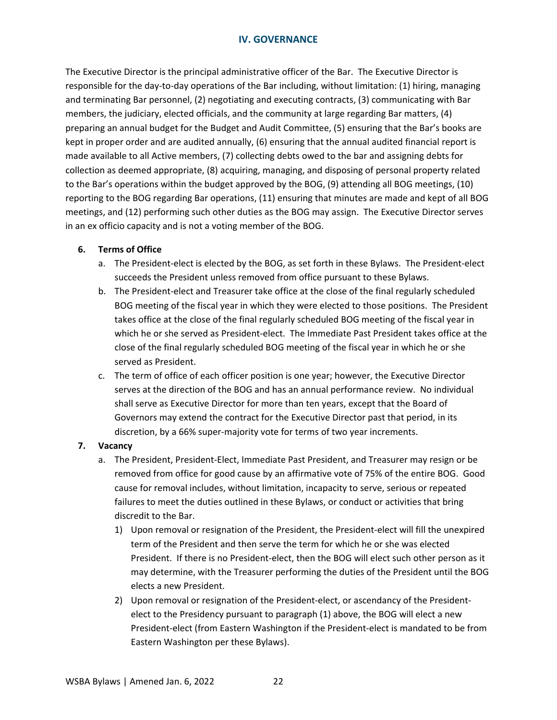The Executive Director is the principal administrative officer of the Bar. The Executive Director is responsible for the day-to-day operations of the Bar including, without limitation: (1) hiring, managing and terminating Bar personnel, (2) negotiating and executing contracts, (3) communicating with Bar members, the judiciary, elected officials, and the community at large regarding Bar matters, (4) preparing an annual budget for the Budget and Audit Committee, (5) ensuring that the Bar's books are kept in proper order and are audited annually, (6) ensuring that the annual audited financial report is made available to all Active members, (7) collecting debts owed to the bar and assigning debts for collection as deemed appropriate, (8) acquiring, managing, and disposing of personal property related to the Bar's operations within the budget approved by the BOG, (9) attending all BOG meetings, (10) reporting to the BOG regarding Bar operations, (11) ensuring that minutes are made and kept of all BOG meetings, and (12) performing such other duties as the BOG may assign. The Executive Director serves in an ex officio capacity and is not a voting member of the BOG.

### **6. Terms of Office**

- a. The President-elect is elected by the BOG, as set forth in these Bylaws. The President-elect succeeds the President unless removed from office pursuant to these Bylaws.
- b. The President-elect and Treasurer take office at the close of the final regularly scheduled BOG meeting of the fiscal year in which they were elected to those positions. The President takes office at the close of the final regularly scheduled BOG meeting of the fiscal year in which he or she served as President-elect. The Immediate Past President takes office at the close of the final regularly scheduled BOG meeting of the fiscal year in which he or she served as President.
- c. The term of office of each officer position is one year; however, the Executive Director serves at the direction of the BOG and has an annual performance review. No individual shall serve as Executive Director for more than ten years, except that the Board of Governors may extend the contract for the Executive Director past that period, in its discretion, by a 66% super-majority vote for terms of two year increments.

#### **7. Vacancy**

- a. The President, President-Elect, Immediate Past President, and Treasurer may resign or be removed from office for good cause by an affirmative vote of 75% of the entire BOG. Good cause for removal includes, without limitation, incapacity to serve, serious or repeated failures to meet the duties outlined in these Bylaws, or conduct or activities that bring discredit to the Bar.
	- 1) Upon removal or resignation of the President, the President-elect will fill the unexpired term of the President and then serve the term for which he or she was elected President. If there is no President-elect, then the BOG will elect such other person as it may determine, with the Treasurer performing the duties of the President until the BOG elects a new President.
	- 2) Upon removal or resignation of the President-elect, or ascendancy of the Presidentelect to the Presidency pursuant to paragraph (1) above, the BOG will elect a new President-elect (from Eastern Washington if the President-elect is mandated to be from Eastern Washington per these Bylaws).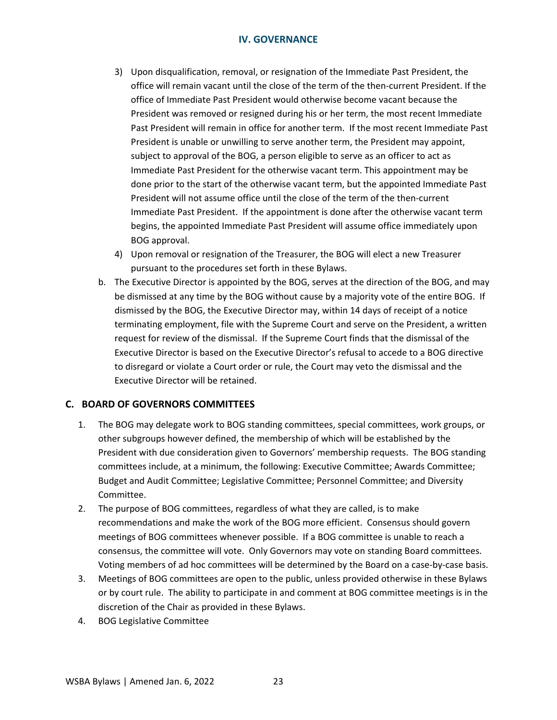- 3) Upon disqualification, removal, or resignation of the Immediate Past President, the office will remain vacant until the close of the term of the then-current President. If the office of Immediate Past President would otherwise become vacant because the President was removed or resigned during his or her term, the most recent Immediate Past President will remain in office for another term. If the most recent Immediate Past President is unable or unwilling to serve another term, the President may appoint, subject to approval of the BOG, a person eligible to serve as an officer to act as Immediate Past President for the otherwise vacant term. This appointment may be done prior to the start of the otherwise vacant term, but the appointed Immediate Past President will not assume office until the close of the term of the then-current Immediate Past President. If the appointment is done after the otherwise vacant term begins, the appointed Immediate Past President will assume office immediately upon BOG approval.
- 4) Upon removal or resignation of the Treasurer, the BOG will elect a new Treasurer pursuant to the procedures set forth in these Bylaws.
- b. The Executive Director is appointed by the BOG, serves at the direction of the BOG, and may be dismissed at any time by the BOG without cause by a majority vote of the entire BOG. If dismissed by the BOG, the Executive Director may, within 14 days of receipt of a notice terminating employment, file with the Supreme Court and serve on the President, a written request for review of the dismissal. If the Supreme Court finds that the dismissal of the Executive Director is based on the Executive Director's refusal to accede to a BOG directive to disregard or violate a Court order or rule, the Court may veto the dismissal and the Executive Director will be retained.

## <span id="page-26-0"></span>**C. BOARD OF GOVERNORS COMMITTEES**

- 1. The BOG may delegate work to BOG standing committees, special committees, work groups, or other subgroups however defined, the membership of which will be established by the President with due consideration given to Governors' membership requests. The BOG standing committees include, at a minimum, the following: Executive Committee; Awards Committee; Budget and Audit Committee; Legislative Committee; Personnel Committee; and Diversity Committee.
- 2. The purpose of BOG committees, regardless of what they are called, is to make recommendations and make the work of the BOG more efficient. Consensus should govern meetings of BOG committees whenever possible. If a BOG committee is unable to reach a consensus, the committee will vote. Only Governors may vote on standing Board committees. Voting members of ad hoc committees will be determined by the Board on a case-by-case basis.
- 3. Meetings of BOG committees are open to the public, unless provided otherwise in these Bylaws or by court rule. The ability to participate in and comment at BOG committee meetings is in the discretion of the Chair as provided in these Bylaws.
- 4. BOG Legislative Committee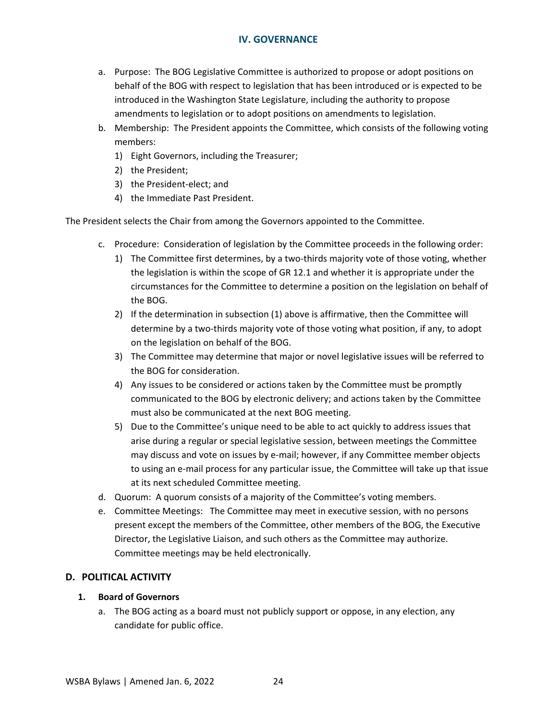- a. Purpose: The BOG Legislative Committee is authorized to propose or adopt positions on behalf of the BOG with respect to legislation that has been introduced or is expected to be introduced in the Washington State Legislature, including the authority to propose amendments to legislation or to adopt positions on amendments to legislation.
- b. Membership: The President appoints the Committee, which consists of the following voting members:
	- 1) Eight Governors, including the Treasurer;
	- 2) the President;
	- 3) the President-elect; and
	- 4) the Immediate Past President.

The President selects the Chair from among the Governors appointed to the Committee.

- c. Procedure: Consideration of legislation by the Committee proceeds in the following order:
	- 1) The Committee first determines, by a two-thirds majority vote of those voting, whether the legislation is within the scope of GR 12.1 and whether it is appropriate under the circumstances for the Committee to determine a position on the legislation on behalf of the BOG.
	- 2) If the determination in subsection (1) above is affirmative, then the Committee will determine by a two-thirds majority vote of those voting what position, if any, to adopt on the legislation on behalf of the BOG.
	- 3) The Committee may determine that major or novel legislative issues will be referred to the BOG for consideration.
	- 4) Any issues to be considered or actions taken by the Committee must be promptly communicated to the BOG by electronic delivery; and actions taken by the Committee must also be communicated at the next BOG meeting.
	- 5) Due to the Committee's unique need to be able to act quickly to address issues that arise during a regular or special legislative session, between meetings the Committee may discuss and vote on issues by e-mail; however, if any Committee member objects to using an e-mail process for any particular issue, the Committee will take up that issue at its next scheduled Committee meeting.
- d. Quorum: A quorum consists of a majority of the Committee's voting members.
- e. Committee Meetings: The Committee may meet in executive session, with no persons present except the members of the Committee, other members of the BOG, the Executive Director, the Legislative Liaison, and such others as the Committee may authorize. Committee meetings may be held electronically.

# <span id="page-27-0"></span>**D. POLITICAL ACTIVITY**

## **1. Board of Governors**

a. The BOG acting as a board must not publicly support or oppose, in any election, any candidate for public office.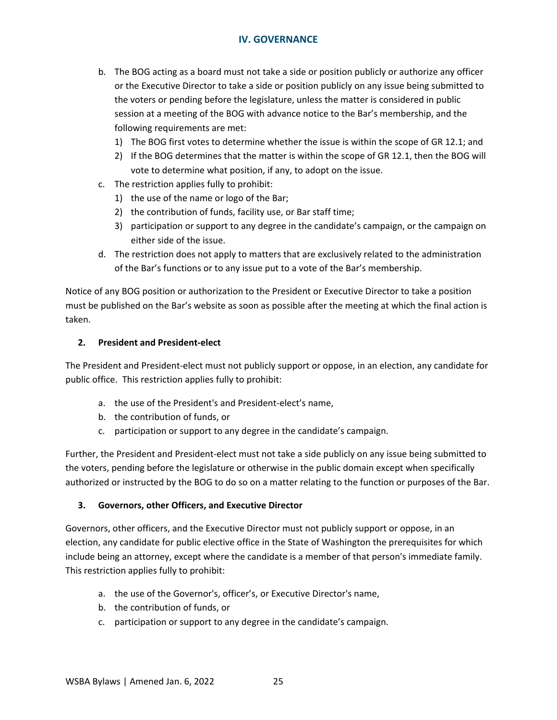- b. The BOG acting as a board must not take a side or position publicly or authorize any officer or the Executive Director to take a side or position publicly on any issue being submitted to the voters or pending before the legislature, unless the matter is considered in public session at a meeting of the BOG with advance notice to the Bar's membership, and the following requirements are met:
	- 1) The BOG first votes to determine whether the issue is within the scope of GR 12.1; and
	- 2) If the BOG determines that the matter is within the scope of GR 12.1, then the BOG will vote to determine what position, if any, to adopt on the issue.
- c. The restriction applies fully to prohibit:
	- 1) the use of the name or logo of the Bar;
	- 2) the contribution of funds, facility use, or Bar staff time;
	- 3) participation or support to any degree in the candidate's campaign, or the campaign on either side of the issue.
- d. The restriction does not apply to matters that are exclusively related to the administration of the Bar's functions or to any issue put to a vote of the Bar's membership.

Notice of any BOG position or authorization to the President or Executive Director to take a position must be published on the Bar's website as soon as possible after the meeting at which the final action is taken.

#### **2. President and President-elect**

The President and President-elect must not publicly support or oppose, in an election, any candidate for public office. This restriction applies fully to prohibit:

- a. the use of the President's and President-elect's name,
- b. the contribution of funds, or
- c. participation or support to any degree in the candidate's campaign.

Further, the President and President-elect must not take a side publicly on any issue being submitted to the voters, pending before the legislature or otherwise in the public domain except when specifically authorized or instructed by the BOG to do so on a matter relating to the function or purposes of the Bar.

#### **3. Governors, other Officers, and Executive Director**

Governors, other officers, and the Executive Director must not publicly support or oppose, in an election, any candidate for public elective office in the State of Washington the prerequisites for which include being an attorney, except where the candidate is a member of that person's immediate family. This restriction applies fully to prohibit:

- a. the use of the Governor's, officer's, or Executive Director's name,
- b. the contribution of funds, or
- c. participation or support to any degree in the candidate's campaign.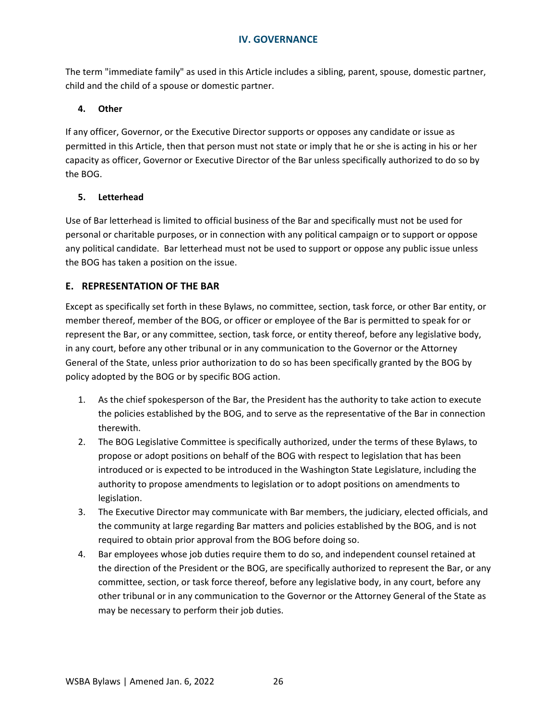The term "immediate family" as used in this Article includes a sibling, parent, spouse, domestic partner, child and the child of a spouse or domestic partner.

# **4. Other**

If any officer, Governor, or the Executive Director supports or opposes any candidate or issue as permitted in this Article, then that person must not state or imply that he or she is acting in his or her capacity as officer, Governor or Executive Director of the Bar unless specifically authorized to do so by the BOG.

## **5. Letterhead**

Use of Bar letterhead is limited to official business of the Bar and specifically must not be used for personal or charitable purposes, or in connection with any political campaign or to support or oppose any political candidate. Bar letterhead must not be used to support or oppose any public issue unless the BOG has taken a position on the issue.

# <span id="page-29-0"></span>**E. REPRESENTATION OF THE BAR**

Except as specifically set forth in these Bylaws, no committee, section, task force, or other Bar entity, or member thereof, member of the BOG, or officer or employee of the Bar is permitted to speak for or represent the Bar, or any committee, section, task force, or entity thereof, before any legislative body, in any court, before any other tribunal or in any communication to the Governor or the Attorney General of the State, unless prior authorization to do so has been specifically granted by the BOG by policy adopted by the BOG or by specific BOG action.

- 1. As the chief spokesperson of the Bar, the President has the authority to take action to execute the policies established by the BOG, and to serve as the representative of the Bar in connection therewith.
- 2. The BOG Legislative Committee is specifically authorized, under the terms of these Bylaws, to propose or adopt positions on behalf of the BOG with respect to legislation that has been introduced or is expected to be introduced in the Washington State Legislature, including the authority to propose amendments to legislation or to adopt positions on amendments to legislation.
- 3. The Executive Director may communicate with Bar members, the judiciary, elected officials, and the community at large regarding Bar matters and policies established by the BOG, and is not required to obtain prior approval from the BOG before doing so.
- 4. Bar employees whose job duties require them to do so, and independent counsel retained at the direction of the President or the BOG, are specifically authorized to represent the Bar, or any committee, section, or task force thereof, before any legislative body, in any court, before any other tribunal or in any communication to the Governor or the Attorney General of the State as may be necessary to perform their job duties.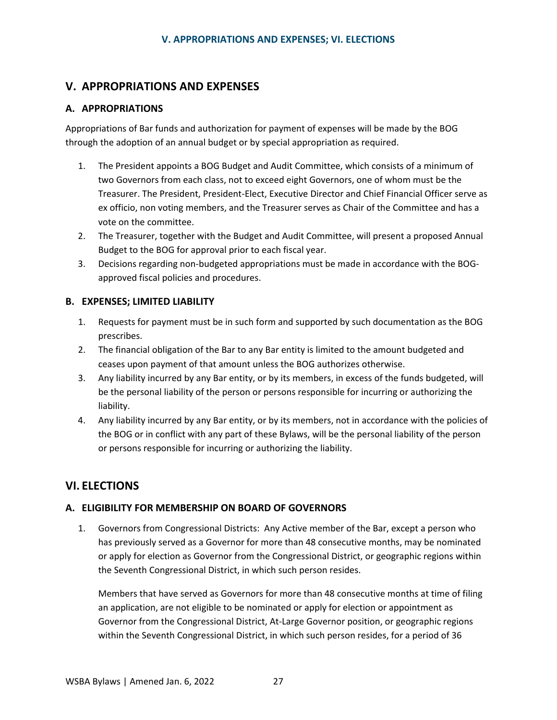# <span id="page-30-0"></span>**V. APPROPRIATIONS AND EXPENSES**

# <span id="page-30-1"></span>**A. APPROPRIATIONS**

Appropriations of Bar funds and authorization for payment of expenses will be made by the BOG through the adoption of an annual budget or by special appropriation as required.

- 1. The President appoints a BOG Budget and Audit Committee, which consists of a minimum of two Governors from each class, not to exceed eight Governors, one of whom must be the Treasurer. The President, President-Elect, Executive Director and Chief Financial Officer serve as ex officio, non voting members, and the Treasurer serves as Chair of the Committee and has a vote on the committee.
- 2. The Treasurer, together with the Budget and Audit Committee, will present a proposed Annual Budget to the BOG for approval prior to each fiscal year.
- 3. Decisions regarding non-budgeted appropriations must be made in accordance with the BOGapproved fiscal policies and procedures.

# <span id="page-30-2"></span>**B. EXPENSES; LIMITED LIABILITY**

- 1. Requests for payment must be in such form and supported by such documentation as the BOG prescribes.
- 2. The financial obligation of the Bar to any Bar entity is limited to the amount budgeted and ceases upon payment of that amount unless the BOG authorizes otherwise.
- 3. Any liability incurred by any Bar entity, or by its members, in excess of the funds budgeted, will be the personal liability of the person or persons responsible for incurring or authorizing the liability.
- 4. Any liability incurred by any Bar entity, or by its members, not in accordance with the policies of the BOG or in conflict with any part of these Bylaws, will be the personal liability of the person or persons responsible for incurring or authorizing the liability.

# <span id="page-30-3"></span>**VI. ELECTIONS**

# <span id="page-30-4"></span>**A. ELIGIBILITY FOR MEMBERSHIP ON BOARD OF GOVERNORS**

1. Governors from Congressional Districts: Any Active member of the Bar, except a person who has previously served as a Governor for more than 48 consecutive months, may be nominated or apply for election as Governor from the Congressional District, or geographic regions within the Seventh Congressional District, in which such person resides.

Members that have served as Governors for more than 48 consecutive months at time of filing an application, are not eligible to be nominated or apply for election or appointment as Governor from the Congressional District, At-Large Governor position, or geographic regions within the Seventh Congressional District, in which such person resides, for a period of 36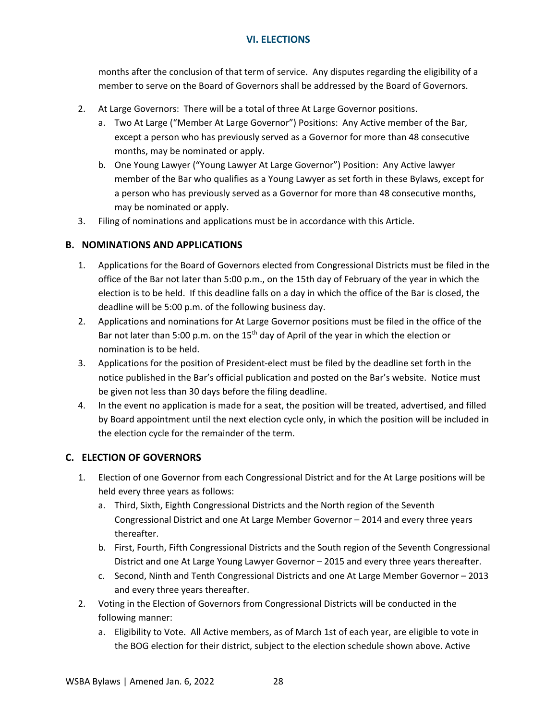months after the conclusion of that term of service. Any disputes regarding the eligibility of a member to serve on the Board of Governors shall be addressed by the Board of Governors.

- 2. At Large Governors: There will be a total of three At Large Governor positions.
	- a. Two At Large ("Member At Large Governor") Positions: Any Active member of the Bar, except a person who has previously served as a Governor for more than 48 consecutive months, may be nominated or apply.
	- b. One Young Lawyer ("Young Lawyer At Large Governor") Position: Any Active lawyer member of the Bar who qualifies as a Young Lawyer as set forth in these Bylaws, except for a person who has previously served as a Governor for more than 48 consecutive months, may be nominated or apply.
- 3. Filing of nominations and applications must be in accordance with this Article.

# <span id="page-31-0"></span>**B. NOMINATIONS AND APPLICATIONS**

- 1. Applications for the Board of Governors elected from Congressional Districts must be filed in the office of the Bar not later than 5:00 p.m., on the 15th day of February of the year in which the election is to be held. If this deadline falls on a day in which the office of the Bar is closed, the deadline will be 5:00 p.m. of the following business day.
- 2. Applications and nominations for At Large Governor positions must be filed in the office of the Bar not later than 5:00 p.m. on the 15<sup>th</sup> day of April of the year in which the election or nomination is to be held.
- 3. Applications for the position of President-elect must be filed by the deadline set forth in the notice published in the Bar's official publication and posted on the Bar's website. Notice must be given not less than 30 days before the filing deadline.
- 4. In the event no application is made for a seat, the position will be treated, advertised, and filled by Board appointment until the next election cycle only, in which the position will be included in the election cycle for the remainder of the term.

# <span id="page-31-1"></span>**C. ELECTION OF GOVERNORS**

- 1. Election of one Governor from each Congressional District and for the At Large positions will be held every three years as follows:
	- a. Third, Sixth, Eighth Congressional Districts and the North region of the Seventh Congressional District and one At Large Member Governor – 2014 and every three years thereafter.
	- b. First, Fourth, Fifth Congressional Districts and the South region of the Seventh Congressional District and one At Large Young Lawyer Governor – 2015 and every three years thereafter.
	- c. Second, Ninth and Tenth Congressional Districts and one At Large Member Governor 2013 and every three years thereafter.
- 2. Voting in the Election of Governors from Congressional Districts will be conducted in the following manner:
	- a. Eligibility to Vote. All Active members, as of March 1st of each year, are eligible to vote in the BOG election for their district, subject to the election schedule shown above. Active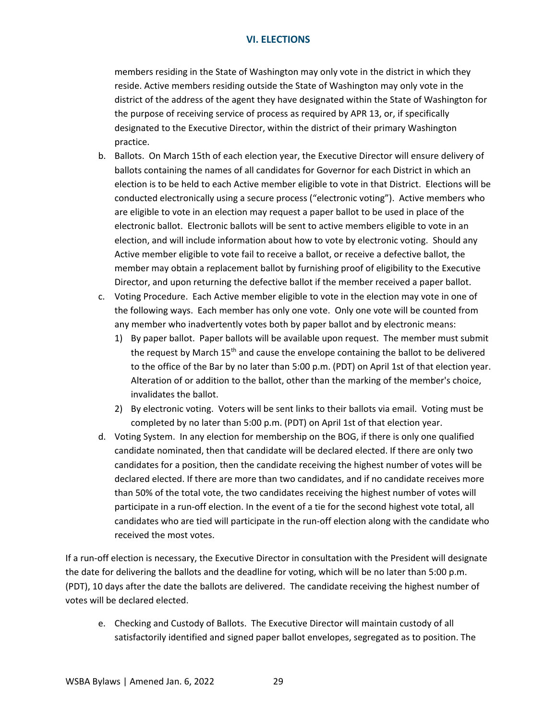members residing in the State of Washington may only vote in the district in which they reside. Active members residing outside the State of Washington may only vote in the district of the address of the agent they have designated within the State of Washington for the purpose of receiving service of process as required by APR 13, or, if specifically designated to the Executive Director, within the district of their primary Washington practice.

- b. Ballots. On March 15th of each election year, the Executive Director will ensure delivery of ballots containing the names of all candidates for Governor for each District in which an election is to be held to each Active member eligible to vote in that District. Elections will be conducted electronically using a secure process ("electronic voting"). Active members who are eligible to vote in an election may request a paper ballot to be used in place of the electronic ballot. Electronic ballots will be sent to active members eligible to vote in an election, and will include information about how to vote by electronic voting. Should any Active member eligible to vote fail to receive a ballot, or receive a defective ballot, the member may obtain a replacement ballot by furnishing proof of eligibility to the Executive Director, and upon returning the defective ballot if the member received a paper ballot.
- c. Voting Procedure. Each Active member eligible to vote in the election may vote in one of the following ways. Each member has only one vote. Only one vote will be counted from any member who inadvertently votes both by paper ballot and by electronic means:
	- 1) By paper ballot. Paper ballots will be available upon request. The member must submit the request by March 15<sup>th</sup> and cause the envelope containing the ballot to be delivered to the office of the Bar by no later than 5:00 p.m. (PDT) on April 1st of that election year. Alteration of or addition to the ballot, other than the marking of the member's choice, invalidates the ballot.
	- 2) By electronic voting. Voters will be sent links to their ballots via email. Voting must be completed by no later than 5:00 p.m. (PDT) on April 1st of that election year.
- d. Voting System. In any election for membership on the BOG, if there is only one qualified candidate nominated, then that candidate will be declared elected. If there are only two candidates for a position, then the candidate receiving the highest number of votes will be declared elected. If there are more than two candidates, and if no candidate receives more than 50% of the total vote, the two candidates receiving the highest number of votes will participate in a run-off election. In the event of a tie for the second highest vote total, all candidates who are tied will participate in the run-off election along with the candidate who received the most votes.

If a run-off election is necessary, the Executive Director in consultation with the President will designate the date for delivering the ballots and the deadline for voting, which will be no later than 5:00 p.m. (PDT), 10 days after the date the ballots are delivered. The candidate receiving the highest number of votes will be declared elected.

e. Checking and Custody of Ballots. The Executive Director will maintain custody of all satisfactorily identified and signed paper ballot envelopes, segregated as to position. The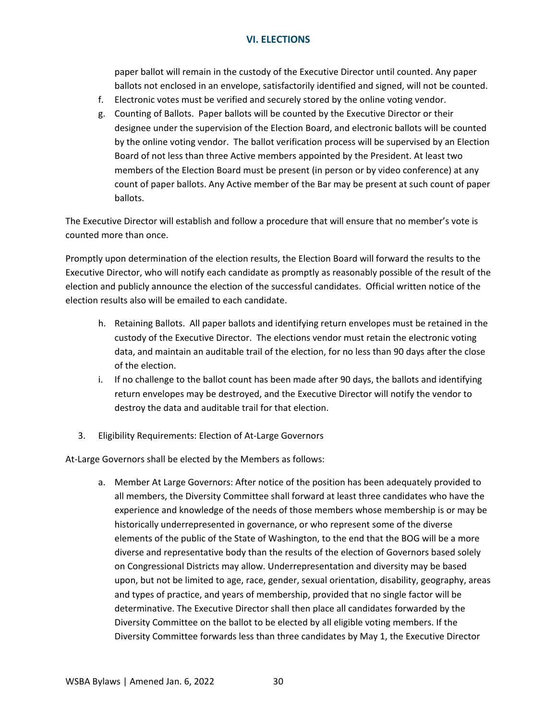paper ballot will remain in the custody of the Executive Director until counted. Any paper ballots not enclosed in an envelope, satisfactorily identified and signed, will not be counted.

- f. Electronic votes must be verified and securely stored by the online voting vendor.
- g. Counting of Ballots. Paper ballots will be counted by the Executive Director or their designee under the supervision of the Election Board, and electronic ballots will be counted by the online voting vendor. The ballot verification process will be supervised by an Election Board of not less than three Active members appointed by the President. At least two members of the Election Board must be present (in person or by video conference) at any count of paper ballots. Any Active member of the Bar may be present at such count of paper ballots.

The Executive Director will establish and follow a procedure that will ensure that no member's vote is counted more than once.

Promptly upon determination of the election results, the Election Board will forward the results to the Executive Director, who will notify each candidate as promptly as reasonably possible of the result of the election and publicly announce the election of the successful candidates. Official written notice of the election results also will be emailed to each candidate.

- h. Retaining Ballots. All paper ballots and identifying return envelopes must be retained in the custody of the Executive Director. The elections vendor must retain the electronic voting data, and maintain an auditable trail of the election, for no less than 90 days after the close of the election.
- i. If no challenge to the ballot count has been made after 90 days, the ballots and identifying return envelopes may be destroyed, and the Executive Director will notify the vendor to destroy the data and auditable trail for that election.
- 3. Eligibility Requirements: Election of At-Large Governors

At-Large Governors shall be elected by the Members as follows:

a. Member At Large Governors: After notice of the position has been adequately provided to all members, the Diversity Committee shall forward at least three candidates who have the experience and knowledge of the needs of those members whose membership is or may be historically underrepresented in governance, or who represent some of the diverse elements of the public of the State of Washington, to the end that the BOG will be a more diverse and representative body than the results of the election of Governors based solely on Congressional Districts may allow. Underrepresentation and diversity may be based upon, but not be limited to age, race, gender, sexual orientation, disability, geography, areas and types of practice, and years of membership, provided that no single factor will be determinative. The Executive Director shall then place all candidates forwarded by the Diversity Committee on the ballot to be elected by all eligible voting members. If the Diversity Committee forwards less than three candidates by May 1, the Executive Director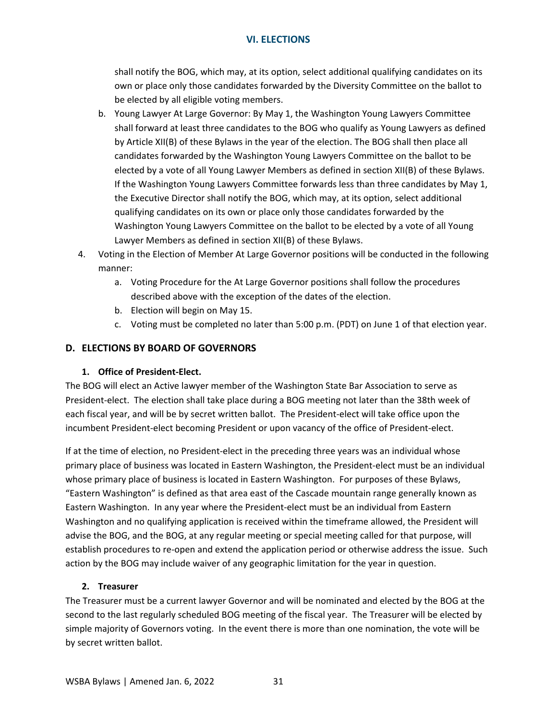shall notify the BOG, which may, at its option, select additional qualifying candidates on its own or place only those candidates forwarded by the Diversity Committee on the ballot to be elected by all eligible voting members.

- b. Young Lawyer At Large Governor: By May 1, the Washington Young Lawyers Committee shall forward at least three candidates to the BOG who qualify as Young Lawyers as defined by Article XII(B) of these Bylaws in the year of the election. The BOG shall then place all candidates forwarded by the Washington Young Lawyers Committee on the ballot to be elected by a vote of all Young Lawyer Members as defined in section XII(B) of these Bylaws. If the Washington Young Lawyers Committee forwards less than three candidates by May 1, the Executive Director shall notify the BOG, which may, at its option, select additional qualifying candidates on its own or place only those candidates forwarded by the Washington Young Lawyers Committee on the ballot to be elected by a vote of all Young Lawyer Members as defined in section XII(B) of these Bylaws.
- 4. Voting in the Election of Member At Large Governor positions will be conducted in the following manner:
	- a. Voting Procedure for the At Large Governor positions shall follow the procedures described above with the exception of the dates of the election.
	- b. Election will begin on May 15.
	- c. Voting must be completed no later than 5:00 p.m. (PDT) on June 1 of that election year.

# <span id="page-34-0"></span>**D. ELECTIONS BY BOARD OF GOVERNORS**

## <span id="page-34-1"></span>**1. Office of President-Elect.**

The BOG will elect an Active lawyer member of the Washington State Bar Association to serve as President-elect. The election shall take place during a BOG meeting not later than the 38th week of each fiscal year, and will be by secret written ballot. The President-elect will take office upon the incumbent President-elect becoming President or upon vacancy of the office of President-elect.

If at the time of election, no President-elect in the preceding three years was an individual whose primary place of business was located in Eastern Washington, the President-elect must be an individual whose primary place of business is located in Eastern Washington. For purposes of these Bylaws, "Eastern Washington" is defined as that area east of the Cascade mountain range generally known as Eastern Washington. In any year where the President-elect must be an individual from Eastern Washington and no qualifying application is received within the timeframe allowed, the President will advise the BOG, and the BOG, at any regular meeting or special meeting called for that purpose, will establish procedures to re-open and extend the application period or otherwise address the issue. Such action by the BOG may include waiver of any geographic limitation for the year in question.

## <span id="page-34-2"></span>**2. Treasurer**

The Treasurer must be a current lawyer Governor and will be nominated and elected by the BOG at the second to the last regularly scheduled BOG meeting of the fiscal year. The Treasurer will be elected by simple majority of Governors voting. In the event there is more than one nomination, the vote will be by secret written ballot.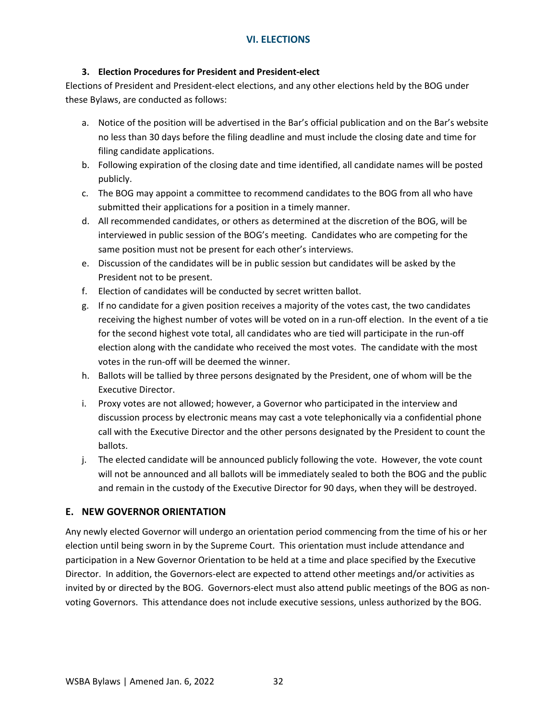### <span id="page-35-0"></span>**3. Election Procedures for President and President-elect**

Elections of President and President-elect elections, and any other elections held by the BOG under these Bylaws, are conducted as follows:

- a. Notice of the position will be advertised in the Bar's official publication and on the Bar's website no less than 30 days before the filing deadline and must include the closing date and time for filing candidate applications.
- b. Following expiration of the closing date and time identified, all candidate names will be posted publicly.
- c. The BOG may appoint a committee to recommend candidates to the BOG from all who have submitted their applications for a position in a timely manner.
- d. All recommended candidates, or others as determined at the discretion of the BOG, will be interviewed in public session of the BOG's meeting. Candidates who are competing for the same position must not be present for each other's interviews.
- e. Discussion of the candidates will be in public session but candidates will be asked by the President not to be present.
- f. Election of candidates will be conducted by secret written ballot.
- g. If no candidate for a given position receives a majority of the votes cast, the two candidates receiving the highest number of votes will be voted on in a run-off election. In the event of a tie for the second highest vote total, all candidates who are tied will participate in the run-off election along with the candidate who received the most votes. The candidate with the most votes in the run-off will be deemed the winner.
- h. Ballots will be tallied by three persons designated by the President, one of whom will be the Executive Director.
- i. Proxy votes are not allowed; however, a Governor who participated in the interview and discussion process by electronic means may cast a vote telephonically via a confidential phone call with the Executive Director and the other persons designated by the President to count the ballots.
- j. The elected candidate will be announced publicly following the vote. However, the vote count will not be announced and all ballots will be immediately sealed to both the BOG and the public and remain in the custody of the Executive Director for 90 days, when they will be destroyed.

## <span id="page-35-1"></span>**E. NEW GOVERNOR ORIENTATION**

Any newly elected Governor will undergo an orientation period commencing from the time of his or her election until being sworn in by the Supreme Court. This orientation must include attendance and participation in a New Governor Orientation to be held at a time and place specified by the Executive Director. In addition, the Governors-elect are expected to attend other meetings and/or activities as invited by or directed by the BOG. Governors-elect must also attend public meetings of the BOG as nonvoting Governors. This attendance does not include executive sessions, unless authorized by the BOG.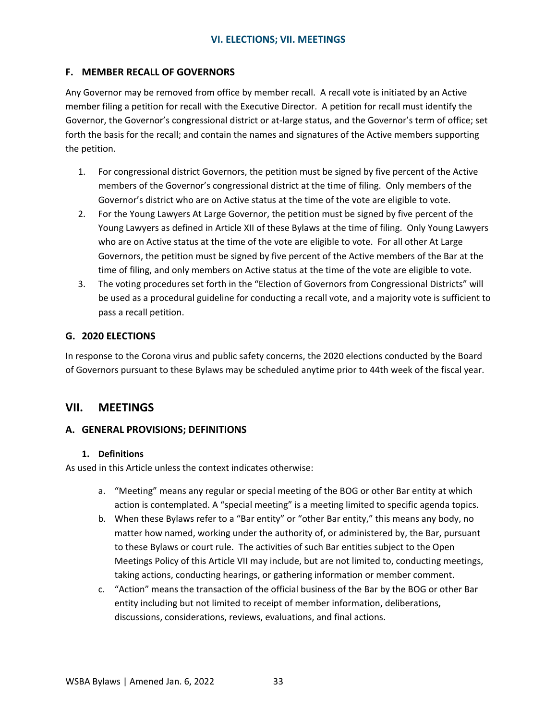## <span id="page-36-0"></span>**F. MEMBER RECALL OF GOVERNORS**

Any Governor may be removed from office by member recall. A recall vote is initiated by an Active member filing a petition for recall with the Executive Director. A petition for recall must identify the Governor, the Governor's congressional district or at-large status, and the Governor's term of office; set forth the basis for the recall; and contain the names and signatures of the Active members supporting the petition.

- 1. For congressional district Governors, the petition must be signed by five percent of the Active members of the Governor's congressional district at the time of filing. Only members of the Governor's district who are on Active status at the time of the vote are eligible to vote.
- 2. For the Young Lawyers At Large Governor, the petition must be signed by five percent of the Young Lawyers as defined in Article XII of these Bylaws at the time of filing. Only Young Lawyers who are on Active status at the time of the vote are eligible to vote. For all other At Large Governors, the petition must be signed by five percent of the Active members of the Bar at the time of filing, and only members on Active status at the time of the vote are eligible to vote.
- 3. The voting procedures set forth in the "Election of Governors from Congressional Districts" will be used as a procedural guideline for conducting a recall vote, and a majority vote is sufficient to pass a recall petition.

## <span id="page-36-1"></span>**G. 2020 ELECTIONS**

In response to the Corona virus and public safety concerns, the 2020 elections conducted by the Board of Governors pursuant to these Bylaws may be scheduled anytime prior to 44th week of the fiscal year.

# <span id="page-36-2"></span>**VII. MEETINGS**

## <span id="page-36-3"></span>**A. GENERAL PROVISIONS; DEFINITIONS**

#### <span id="page-36-4"></span>**1. Definitions**

As used in this Article unless the context indicates otherwise:

- a. "Meeting" means any regular or special meeting of the BOG or other Bar entity at which action is contemplated. A "special meeting" is a meeting limited to specific agenda topics.
- b. When these Bylaws refer to a "Bar entity" or "other Bar entity," this means any body, no matter how named, working under the authority of, or administered by, the Bar, pursuant to these Bylaws or court rule. The activities of such Bar entities subject to the Open Meetings Policy of this Article VII may include, but are not limited to, conducting meetings, taking actions, conducting hearings, or gathering information or member comment.
- c. "Action" means the transaction of the official business of the Bar by the BOG or other Bar entity including but not limited to receipt of member information, deliberations, discussions, considerations, reviews, evaluations, and final actions.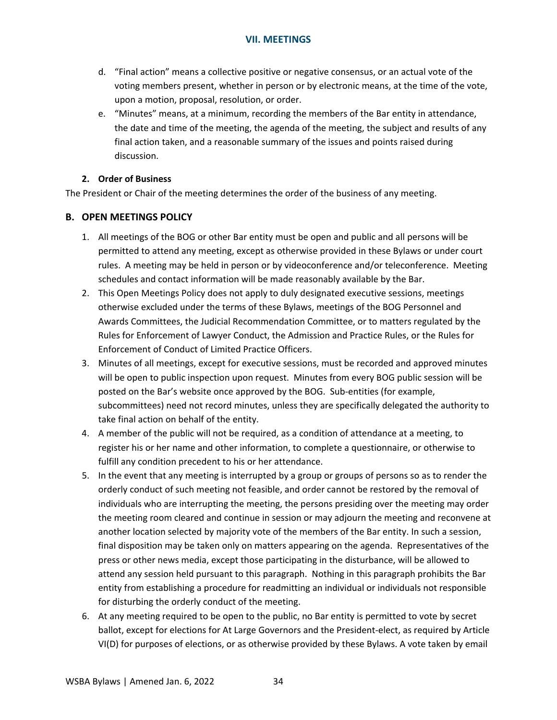- d. "Final action" means a collective positive or negative consensus, or an actual vote of the voting members present, whether in person or by electronic means, at the time of the vote, upon a motion, proposal, resolution, or order.
- e. "Minutes" means, at a minimum, recording the members of the Bar entity in attendance, the date and time of the meeting, the agenda of the meeting, the subject and results of any final action taken, and a reasonable summary of the issues and points raised during discussion.

### <span id="page-37-0"></span>**2. Order of Business**

The President or Chair of the meeting determines the order of the business of any meeting.

## <span id="page-37-1"></span>**B. OPEN MEETINGS POLICY**

- 1. All meetings of the BOG or other Bar entity must be open and public and all persons will be permitted to attend any meeting, except as otherwise provided in these Bylaws or under court rules. A meeting may be held in person or by videoconference and/or teleconference. Meeting schedules and contact information will be made reasonably available by the Bar.
- 2. This Open Meetings Policy does not apply to duly designated executive sessions, meetings otherwise excluded under the terms of these Bylaws, meetings of the BOG Personnel and Awards Committees, the Judicial Recommendation Committee, or to matters regulated by the Rules for Enforcement of Lawyer Conduct, the Admission and Practice Rules, or the Rules for Enforcement of Conduct of Limited Practice Officers.
- 3. Minutes of all meetings, except for executive sessions, must be recorded and approved minutes will be open to public inspection upon request. Minutes from every BOG public session will be posted on the Bar's website once approved by the BOG. Sub-entities (for example, subcommittees) need not record minutes, unless they are specifically delegated the authority to take final action on behalf of the entity.
- 4. A member of the public will not be required, as a condition of attendance at a meeting, to register his or her name and other information, to complete a questionnaire, or otherwise to fulfill any condition precedent to his or her attendance.
- 5. In the event that any meeting is interrupted by a group or groups of persons so as to render the orderly conduct of such meeting not feasible, and order cannot be restored by the removal of individuals who are interrupting the meeting, the persons presiding over the meeting may order the meeting room cleared and continue in session or may adjourn the meeting and reconvene at another location selected by majority vote of the members of the Bar entity. In such a session, final disposition may be taken only on matters appearing on the agenda. Representatives of the press or other news media, except those participating in the disturbance, will be allowed to attend any session held pursuant to this paragraph. Nothing in this paragraph prohibits the Bar entity from establishing a procedure for readmitting an individual or individuals not responsible for disturbing the orderly conduct of the meeting.
- 6. At any meeting required to be open to the public, no Bar entity is permitted to vote by secret ballot, except for elections for At Large Governors and the President-elect, as required by Article VI(D) for purposes of elections, or as otherwise provided by these Bylaws. A vote taken by email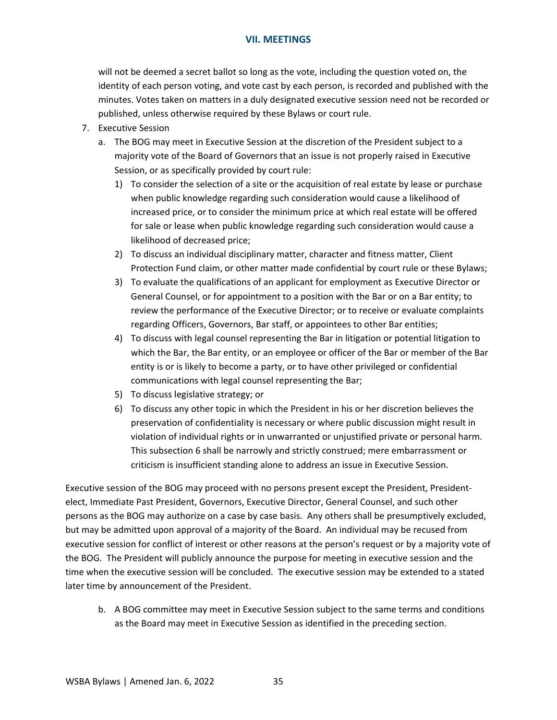will not be deemed a secret ballot so long as the vote, including the question voted on, the identity of each person voting, and vote cast by each person, is recorded and published with the minutes. Votes taken on matters in a duly designated executive session need not be recorded or published, unless otherwise required by these Bylaws or court rule.

- 7. Executive Session
	- a. The BOG may meet in Executive Session at the discretion of the President subject to a majority vote of the Board of Governors that an issue is not properly raised in Executive Session, or as specifically provided by court rule:
		- 1) To consider the selection of a site or the acquisition of real estate by lease or purchase when public knowledge regarding such consideration would cause a likelihood of increased price, or to consider the minimum price at which real estate will be offered for sale or lease when public knowledge regarding such consideration would cause a likelihood of decreased price;
		- 2) To discuss an individual disciplinary matter, character and fitness matter, Client Protection Fund claim, or other matter made confidential by court rule or these Bylaws;
		- 3) To evaluate the qualifications of an applicant for employment as Executive Director or General Counsel, or for appointment to a position with the Bar or on a Bar entity; to review the performance of the Executive Director; or to receive or evaluate complaints regarding Officers, Governors, Bar staff, or appointees to other Bar entities;
		- 4) To discuss with legal counsel representing the Bar in litigation or potential litigation to which the Bar, the Bar entity, or an employee or officer of the Bar or member of the Bar entity is or is likely to become a party, or to have other privileged or confidential communications with legal counsel representing the Bar;
		- 5) To discuss legislative strategy; or
		- 6) To discuss any other topic in which the President in his or her discretion believes the preservation of confidentiality is necessary or where public discussion might result in violation of individual rights or in unwarranted or unjustified private or personal harm. This subsection 6 shall be narrowly and strictly construed; mere embarrassment or criticism is insufficient standing alone to address an issue in Executive Session.

Executive session of the BOG may proceed with no persons present except the President, Presidentelect, Immediate Past President, Governors, Executive Director, General Counsel, and such other persons as the BOG may authorize on a case by case basis. Any others shall be presumptively excluded, but may be admitted upon approval of a majority of the Board. An individual may be recused from executive session for conflict of interest or other reasons at the person's request or by a majority vote of the BOG. The President will publicly announce the purpose for meeting in executive session and the time when the executive session will be concluded. The executive session may be extended to a stated later time by announcement of the President.

b. A BOG committee may meet in Executive Session subject to the same terms and conditions as the Board may meet in Executive Session as identified in the preceding section.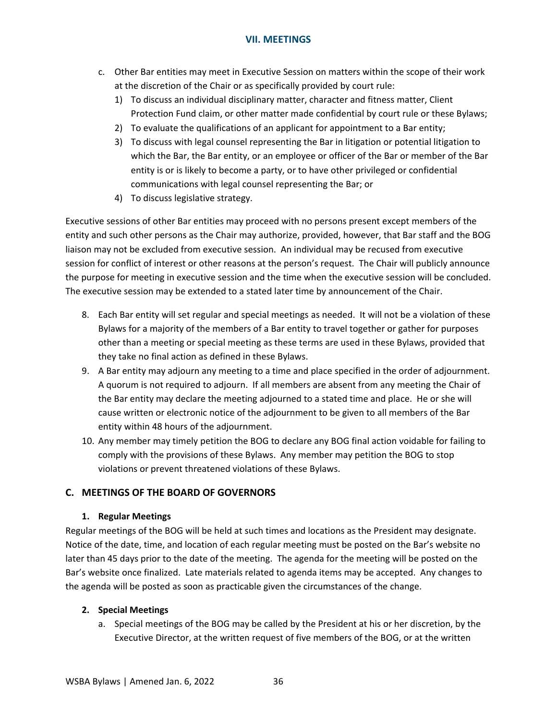- c. Other Bar entities may meet in Executive Session on matters within the scope of their work at the discretion of the Chair or as specifically provided by court rule:
	- 1) To discuss an individual disciplinary matter, character and fitness matter, Client Protection Fund claim, or other matter made confidential by court rule or these Bylaws;
	- 2) To evaluate the qualifications of an applicant for appointment to a Bar entity;
	- 3) To discuss with legal counsel representing the Bar in litigation or potential litigation to which the Bar, the Bar entity, or an employee or officer of the Bar or member of the Bar entity is or is likely to become a party, or to have other privileged or confidential communications with legal counsel representing the Bar; or
	- 4) To discuss legislative strategy.

Executive sessions of other Bar entities may proceed with no persons present except members of the entity and such other persons as the Chair may authorize, provided, however, that Bar staff and the BOG liaison may not be excluded from executive session. An individual may be recused from executive session for conflict of interest or other reasons at the person's request. The Chair will publicly announce the purpose for meeting in executive session and the time when the executive session will be concluded. The executive session may be extended to a stated later time by announcement of the Chair.

- 8. Each Bar entity will set regular and special meetings as needed. It will not be a violation of these Bylaws for a majority of the members of a Bar entity to travel together or gather for purposes other than a meeting or special meeting as these terms are used in these Bylaws, provided that they take no final action as defined in these Bylaws.
- 9. A Bar entity may adjourn any meeting to a time and place specified in the order of adjournment. A quorum is not required to adjourn. If all members are absent from any meeting the Chair of the Bar entity may declare the meeting adjourned to a stated time and place. He or she will cause written or electronic notice of the adjournment to be given to all members of the Bar entity within 48 hours of the adjournment.
- 10. Any member may timely petition the BOG to declare any BOG final action voidable for failing to comply with the provisions of these Bylaws. Any member may petition the BOG to stop violations or prevent threatened violations of these Bylaws.

# <span id="page-39-0"></span>**C. MEETINGS OF THE BOARD OF GOVERNORS**

## <span id="page-39-1"></span>**1. Regular Meetings**

Regular meetings of the BOG will be held at such times and locations as the President may designate. Notice of the date, time, and location of each regular meeting must be posted on the Bar's website no later than 45 days prior to the date of the meeting. The agenda for the meeting will be posted on the Bar's website once finalized. Late materials related to agenda items may be accepted. Any changes to the agenda will be posted as soon as practicable given the circumstances of the change.

## <span id="page-39-2"></span>**2. Special Meetings**

a. Special meetings of the BOG may be called by the President at his or her discretion, by the Executive Director, at the written request of five members of the BOG, or at the written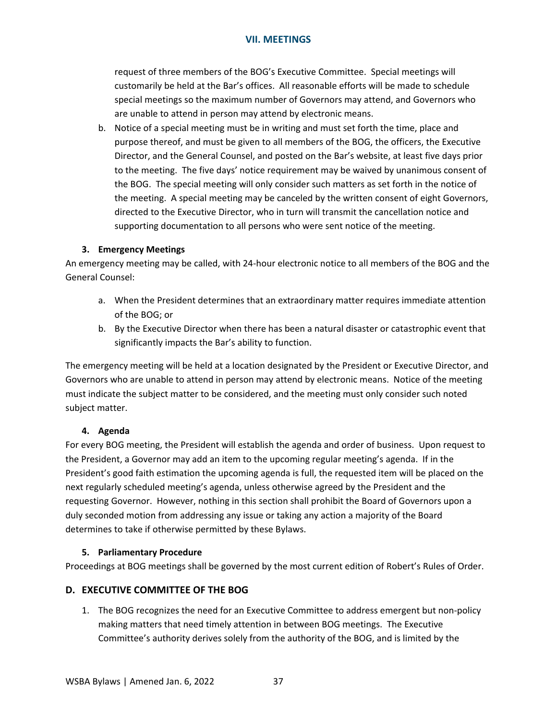request of three members of the BOG's Executive Committee. Special meetings will customarily be held at the Bar's offices. All reasonable efforts will be made to schedule special meetings so the maximum number of Governors may attend, and Governors who are unable to attend in person may attend by electronic means.

b. Notice of a special meeting must be in writing and must set forth the time, place and purpose thereof, and must be given to all members of the BOG, the officers, the Executive Director, and the General Counsel, and posted on the Bar's website, at least five days prior to the meeting. The five days' notice requirement may be waived by unanimous consent of the BOG. The special meeting will only consider such matters as set forth in the notice of the meeting. A special meeting may be canceled by the written consent of eight Governors, directed to the Executive Director, who in turn will transmit the cancellation notice and supporting documentation to all persons who were sent notice of the meeting.

### <span id="page-40-0"></span>**3. Emergency Meetings**

An emergency meeting may be called, with 24-hour electronic notice to all members of the BOG and the General Counsel:

- a. When the President determines that an extraordinary matter requires immediate attention of the BOG; or
- b. By the Executive Director when there has been a natural disaster or catastrophic event that significantly impacts the Bar's ability to function.

The emergency meeting will be held at a location designated by the President or Executive Director, and Governors who are unable to attend in person may attend by electronic means. Notice of the meeting must indicate the subject matter to be considered, and the meeting must only consider such noted subject matter.

#### <span id="page-40-1"></span>**4. Agenda**

For every BOG meeting, the President will establish the agenda and order of business. Upon request to the President, a Governor may add an item to the upcoming regular meeting's agenda. If in the President's good faith estimation the upcoming agenda is full, the requested item will be placed on the next regularly scheduled meeting's agenda, unless otherwise agreed by the President and the requesting Governor. However, nothing in this section shall prohibit the Board of Governors upon a duly seconded motion from addressing any issue or taking any action a majority of the Board determines to take if otherwise permitted by these Bylaws.

## <span id="page-40-2"></span>**5. Parliamentary Procedure**

Proceedings at BOG meetings shall be governed by the most current edition of Robert's Rules of Order.

## <span id="page-40-3"></span>**D. EXECUTIVE COMMITTEE OF THE BOG**

1. The BOG recognizes the need for an Executive Committee to address emergent but non-policy making matters that need timely attention in between BOG meetings. The Executive Committee's authority derives solely from the authority of the BOG, and is limited by the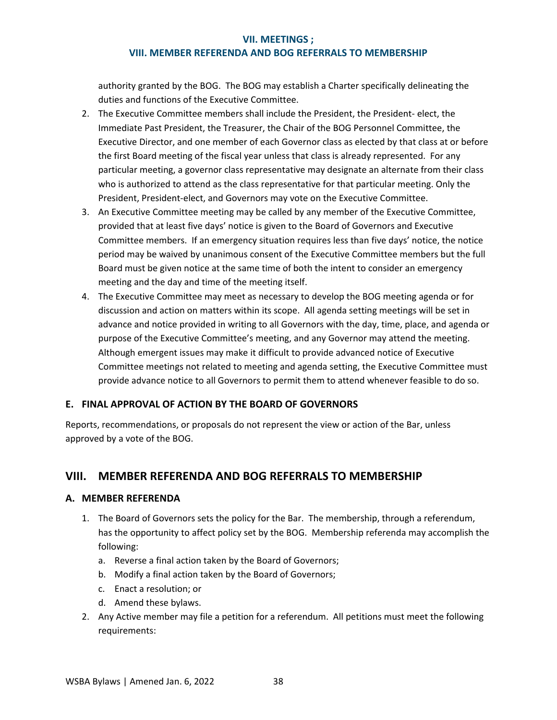### **VIII. MEMBER REFERENDA AND BOG REFERRALS TO MEMBERSHIP**

authority granted by the BOG. The BOG may establish a Charter specifically delineating the duties and functions of the Executive Committee.

- 2. The Executive Committee members shall include the President, the President- elect, the Immediate Past President, the Treasurer, the Chair of the BOG Personnel Committee, the Executive Director, and one member of each Governor class as elected by that class at or before the first Board meeting of the fiscal year unless that class is already represented. For any particular meeting, a governor class representative may designate an alternate from their class who is authorized to attend as the class representative for that particular meeting. Only the President, President-elect, and Governors may vote on the Executive Committee.
- 3. An Executive Committee meeting may be called by any member of the Executive Committee, provided that at least five days' notice is given to the Board of Governors and Executive Committee members. If an emergency situation requires less than five days' notice, the notice period may be waived by unanimous consent of the Executive Committee members but the full Board must be given notice at the same time of both the intent to consider an emergency meeting and the day and time of the meeting itself.
- 4. The Executive Committee may meet as necessary to develop the BOG meeting agenda or for discussion and action on matters within its scope. All agenda setting meetings will be set in advance and notice provided in writing to all Governors with the day, time, place, and agenda or purpose of the Executive Committee's meeting, and any Governor may attend the meeting. Although emergent issues may make it difficult to provide advanced notice of Executive Committee meetings not related to meeting and agenda setting, the Executive Committee must provide advance notice to all Governors to permit them to attend whenever feasible to do so.

## <span id="page-41-0"></span>**E. FINAL APPROVAL OF ACTION BY THE BOARD OF GOVERNORS**

Reports, recommendations, or proposals do not represent the view or action of the Bar, unless approved by a vote of the BOG.

# <span id="page-41-1"></span>**VIII. MEMBER REFERENDA AND BOG REFERRALS TO MEMBERSHIP**

#### <span id="page-41-2"></span>**A. MEMBER REFERENDA**

- 1. The Board of Governors sets the policy for the Bar. The membership, through a referendum, has the opportunity to affect policy set by the BOG. Membership referenda may accomplish the following:
	- a. Reverse a final action taken by the Board of Governors;
	- b. Modify a final action taken by the Board of Governors;
	- c. Enact a resolution; or
	- d. Amend these bylaws.
- 2. Any Active member may file a petition for a referendum. All petitions must meet the following requirements: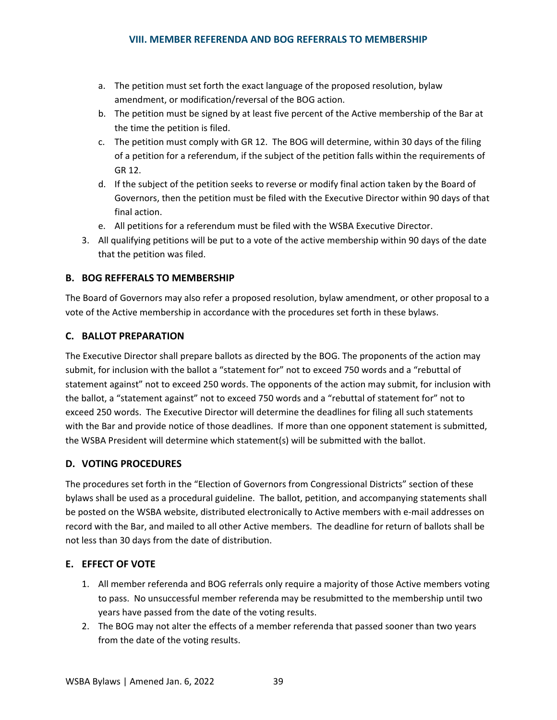- a. The petition must set forth the exact language of the proposed resolution, bylaw amendment, or modification/reversal of the BOG action.
- b. The petition must be signed by at least five percent of the Active membership of the Bar at the time the petition is filed.
- c. The petition must comply with GR 12. The BOG will determine, within 30 days of the filing of a petition for a referendum, if the subject of the petition falls within the requirements of GR 12.
- d. If the subject of the petition seeks to reverse or modify final action taken by the Board of Governors, then the petition must be filed with the Executive Director within 90 days of that final action.
- e. All petitions for a referendum must be filed with the WSBA Executive Director.
- 3. All qualifying petitions will be put to a vote of the active membership within 90 days of the date that the petition was filed.

## <span id="page-42-0"></span>**B. BOG REFFERALS TO MEMBERSHIP**

The Board of Governors may also refer a proposed resolution, bylaw amendment, or other proposal to a vote of the Active membership in accordance with the procedures set forth in these bylaws.

### <span id="page-42-1"></span>**C. BALLOT PREPARATION**

The Executive Director shall prepare ballots as directed by the BOG. The proponents of the action may submit, for inclusion with the ballot a "statement for" not to exceed 750 words and a "rebuttal of statement against" not to exceed 250 words. The opponents of the action may submit, for inclusion with the ballot, a "statement against" not to exceed 750 words and a "rebuttal of statement for" not to exceed 250 words. The Executive Director will determine the deadlines for filing all such statements with the Bar and provide notice of those deadlines. If more than one opponent statement is submitted, the WSBA President will determine which statement(s) will be submitted with the ballot.

## <span id="page-42-2"></span>**D. VOTING PROCEDURES**

The procedures set forth in the "Election of Governors from Congressional Districts" section of these bylaws shall be used as a procedural guideline. The ballot, petition, and accompanying statements shall be posted on the WSBA website, distributed electronically to Active members with e-mail addresses on record with the Bar, and mailed to all other Active members. The deadline for return of ballots shall be not less than 30 days from the date of distribution.

#### <span id="page-42-3"></span>**E. EFFECT OF VOTE**

- 1. All member referenda and BOG referrals only require a majority of those Active members voting to pass. No unsuccessful member referenda may be resubmitted to the membership until two years have passed from the date of the voting results.
- 2. The BOG may not alter the effects of a member referenda that passed sooner than two years from the date of the voting results.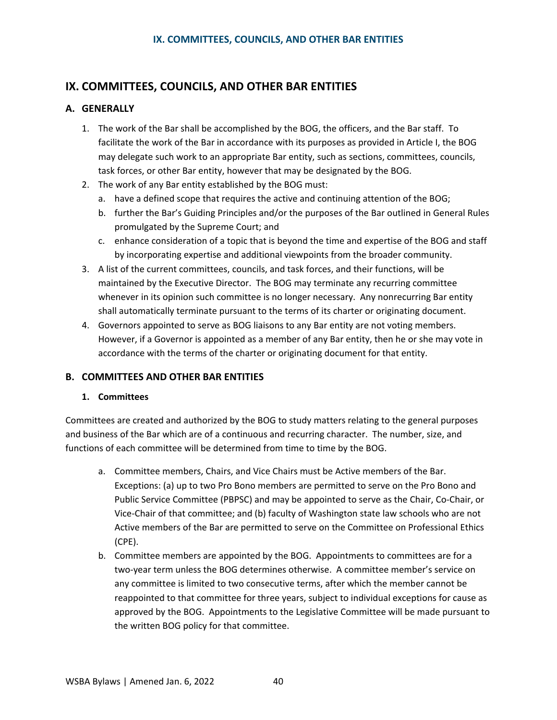# <span id="page-43-0"></span>**IX. COMMITTEES, COUNCILS, AND OTHER BAR ENTITIES**

# <span id="page-43-1"></span>**A. GENERALLY**

- 1. The work of the Bar shall be accomplished by the BOG, the officers, and the Bar staff. To facilitate the work of the Bar in accordance with its purposes as provided in Article I, the BOG may delegate such work to an appropriate Bar entity, such as sections, committees, councils, task forces, or other Bar entity, however that may be designated by the BOG.
- 2. The work of any Bar entity established by the BOG must:
	- a. have a defined scope that requires the active and continuing attention of the BOG;
	- b. further the Bar's Guiding Principles and/or the purposes of the Bar outlined in General Rules promulgated by the Supreme Court; and
	- c. enhance consideration of a topic that is beyond the time and expertise of the BOG and staff by incorporating expertise and additional viewpoints from the broader community.
- 3. A list of the current committees, councils, and task forces, and their functions, will be maintained by the Executive Director. The BOG may terminate any recurring committee whenever in its opinion such committee is no longer necessary. Any nonrecurring Bar entity shall automatically terminate pursuant to the terms of its charter or originating document.
- 4. Governors appointed to serve as BOG liaisons to any Bar entity are not voting members. However, if a Governor is appointed as a member of any Bar entity, then he or she may vote in accordance with the terms of the charter or originating document for that entity.

# <span id="page-43-2"></span>**B. COMMITTEES AND OTHER BAR ENTITIES**

## **1. Committees**

Committees are created and authorized by the BOG to study matters relating to the general purposes and business of the Bar which are of a continuous and recurring character. The number, size, and functions of each committee will be determined from time to time by the BOG.

- a. Committee members, Chairs, and Vice Chairs must be Active members of the Bar. Exceptions: (a) up to two Pro Bono members are permitted to serve on the Pro Bono and Public Service Committee (PBPSC) and may be appointed to serve as the Chair, Co-Chair, or Vice-Chair of that committee; and (b) faculty of Washington state law schools who are not Active members of the Bar are permitted to serve on the Committee on Professional Ethics (CPE).
- b. Committee members are appointed by the BOG. Appointments to committees are for a two-year term unless the BOG determines otherwise. A committee member's service on any committee is limited to two consecutive terms, after which the member cannot be reappointed to that committee for three years, subject to individual exceptions for cause as approved by the BOG. Appointments to the Legislative Committee will be made pursuant to the written BOG policy for that committee.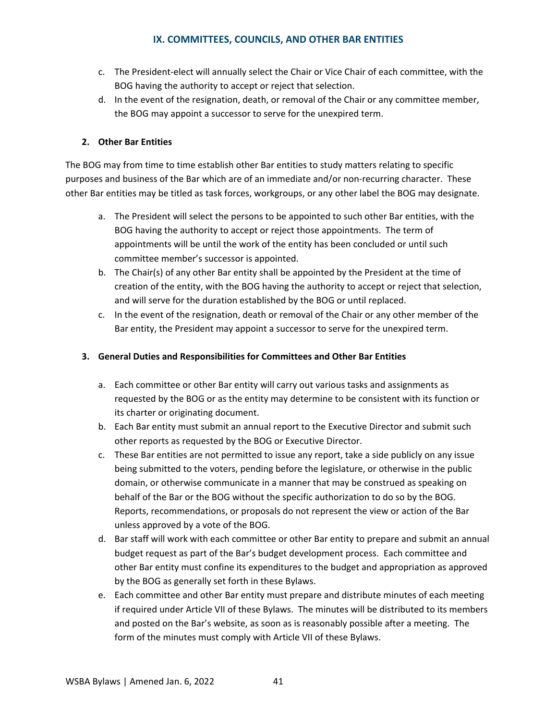# **IX. COMMITTEES, COUNCILS, AND OTHER BAR ENTITIES**

- c. The President-elect will annually select the Chair or Vice Chair of each committee, with the BOG having the authority to accept or reject that selection.
- d. In the event of the resignation, death, or removal of the Chair or any committee member, the BOG may appoint a successor to serve for the unexpired term.

# **2. Other Bar Entities**

The BOG may from time to time establish other Bar entities to study matters relating to specific purposes and business of the Bar which are of an immediate and/or non-recurring character. These other Bar entities may be titled as task forces, workgroups, or any other label the BOG may designate.

- a. The President will select the persons to be appointed to such other Bar entities, with the BOG having the authority to accept or reject those appointments. The term of appointments will be until the work of the entity has been concluded or until such committee member's successor is appointed.
- b. The Chair(s) of any other Bar entity shall be appointed by the President at the time of creation of the entity, with the BOG having the authority to accept or reject that selection, and will serve for the duration established by the BOG or until replaced.
- c. In the event of the resignation, death or removal of the Chair or any other member of the Bar entity, the President may appoint a successor to serve for the unexpired term.

## **3. General Duties and Responsibilities for Committees and Other Bar Entities**

- a. Each committee or other Bar entity will carry out various tasks and assignments as requested by the BOG or as the entity may determine to be consistent with its function or its charter or originating document.
- b. Each Bar entity must submit an annual report to the Executive Director and submit such other reports as requested by the BOG or Executive Director.
- c. These Bar entities are not permitted to issue any report, take a side publicly on any issue being submitted to the voters, pending before the legislature, or otherwise in the public domain, or otherwise communicate in a manner that may be construed as speaking on behalf of the Bar or the BOG without the specific authorization to do so by the BOG. Reports, recommendations, or proposals do not represent the view or action of the Bar unless approved by a vote of the BOG.
- d. Bar staff will work with each committee or other Bar entity to prepare and submit an annual budget request as part of the Bar's budget development process. Each committee and other Bar entity must confine its expenditures to the budget and appropriation as approved by the BOG as generally set forth in these Bylaws.
- e. Each committee and other Bar entity must prepare and distribute minutes of each meeting if required under Article VII of these Bylaws. The minutes will be distributed to its members and posted on the Bar's website, as soon as is reasonably possible after a meeting. The form of the minutes must comply with Article VII of these Bylaws.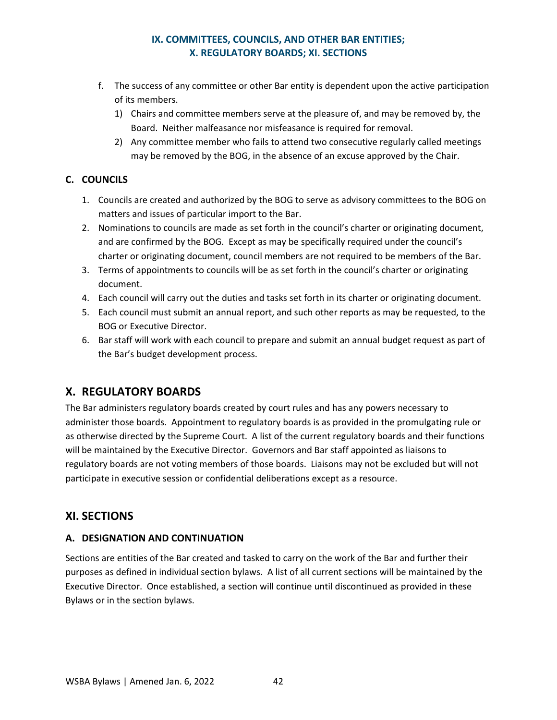# **IX. COMMITTEES, COUNCILS, AND OTHER BAR ENTITIES; X. REGULATORY BOARDS; XI. SECTIONS**

- f. The success of any committee or other Bar entity is dependent upon the active participation of its members.
	- 1) Chairs and committee members serve at the pleasure of, and may be removed by, the Board. Neither malfeasance nor misfeasance is required for removal.
	- 2) Any committee member who fails to attend two consecutive regularly called meetings may be removed by the BOG, in the absence of an excuse approved by the Chair.

# <span id="page-45-0"></span>**C. COUNCILS**

- 1. Councils are created and authorized by the BOG to serve as advisory committees to the BOG on matters and issues of particular import to the Bar.
- 2. Nominations to councils are made as set forth in the council's charter or originating document, and are confirmed by the BOG. Except as may be specifically required under the council's charter or originating document, council members are not required to be members of the Bar.
- 3. Terms of appointments to councils will be as set forth in the council's charter or originating document.
- 4. Each council will carry out the duties and tasks set forth in its charter or originating document.
- 5. Each council must submit an annual report, and such other reports as may be requested, to the BOG or Executive Director.
- 6. Bar staff will work with each council to prepare and submit an annual budget request as part of the Bar's budget development process.

# <span id="page-45-1"></span>**X. REGULATORY BOARDS**

The Bar administers regulatory boards created by court rules and has any powers necessary to administer those boards. Appointment to regulatory boards is as provided in the promulgating rule or as otherwise directed by the Supreme Court. A list of the current regulatory boards and their functions will be maintained by the Executive Director. Governors and Bar staff appointed as liaisons to regulatory boards are not voting members of those boards. Liaisons may not be excluded but will not participate in executive session or confidential deliberations except as a resource.

# <span id="page-45-2"></span>**XI. SECTIONS**

# <span id="page-45-3"></span>**A. DESIGNATION AND CONTINUATION**

Sections are entities of the Bar created and tasked to carry on the work of the Bar and further their purposes as defined in individual section bylaws. A list of all current sections will be maintained by the Executive Director. Once established, a section will continue until discontinued as provided in these Bylaws or in the section bylaws.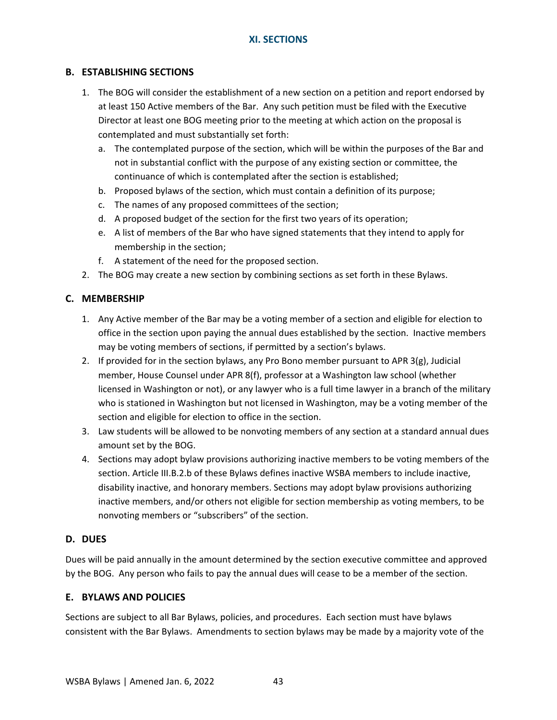## <span id="page-46-0"></span>**B. ESTABLISHING SECTIONS**

- 1. The BOG will consider the establishment of a new section on a petition and report endorsed by at least 150 Active members of the Bar. Any such petition must be filed with the Executive Director at least one BOG meeting prior to the meeting at which action on the proposal is contemplated and must substantially set forth:
	- a. The contemplated purpose of the section, which will be within the purposes of the Bar and not in substantial conflict with the purpose of any existing section or committee, the continuance of which is contemplated after the section is established;
	- b. Proposed bylaws of the section, which must contain a definition of its purpose;
	- c. The names of any proposed committees of the section;
	- d. A proposed budget of the section for the first two years of its operation;
	- e. A list of members of the Bar who have signed statements that they intend to apply for membership in the section;
	- f. A statement of the need for the proposed section.
- 2. The BOG may create a new section by combining sections as set forth in these Bylaws.

### <span id="page-46-1"></span>**C. MEMBERSHIP**

- 1. Any Active member of the Bar may be a voting member of a section and eligible for election to office in the section upon paying the annual dues established by the section. Inactive members may be voting members of sections, if permitted by a section's bylaws.
- 2. If provided for in the section bylaws, any Pro Bono member pursuant to APR  $3(g)$ , Judicial member, House Counsel under APR 8(f), professor at a Washington law school (whether licensed in Washington or not), or any lawyer who is a full time lawyer in a branch of the military who is stationed in Washington but not licensed in Washington, may be a voting member of the section and eligible for election to office in the section.
- 3. Law students will be allowed to be nonvoting members of any section at a standard annual dues amount set by the BOG.
- 4. Sections may adopt bylaw provisions authorizing inactive members to be voting members of the section. Article III.B.2.b of these Bylaws defines inactive WSBA members to include inactive, disability inactive, and honorary members. Sections may adopt bylaw provisions authorizing inactive members, and/or others not eligible for section membership as voting members, to be nonvoting members or "subscribers" of the section.

#### <span id="page-46-2"></span>**D. DUES**

Dues will be paid annually in the amount determined by the section executive committee and approved by the BOG. Any person who fails to pay the annual dues will cease to be a member of the section.

#### <span id="page-46-3"></span>**E. BYLAWS AND POLICIES**

Sections are subject to all Bar Bylaws, policies, and procedures. Each section must have bylaws consistent with the Bar Bylaws. Amendments to section bylaws may be made by a majority vote of the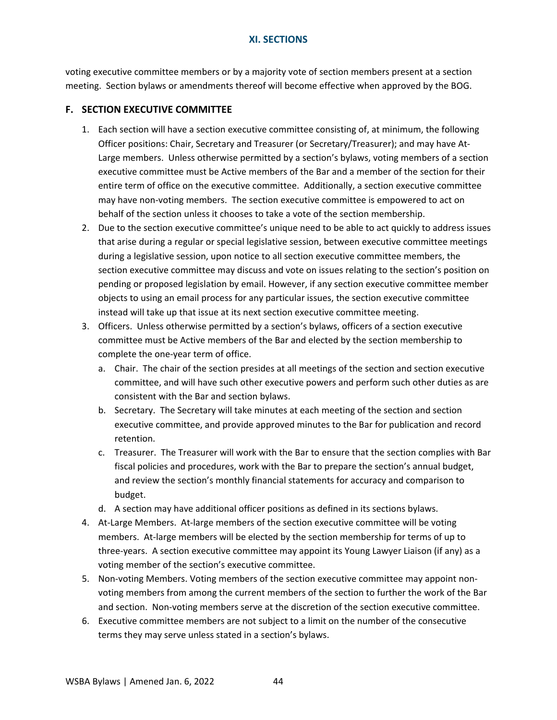voting executive committee members or by a majority vote of section members present at a section meeting. Section bylaws or amendments thereof will become effective when approved by the BOG.

## <span id="page-47-0"></span>**F. SECTION EXECUTIVE COMMITTEE**

- 1. Each section will have a section executive committee consisting of, at minimum, the following Officer positions: Chair, Secretary and Treasurer (or Secretary/Treasurer); and may have At-Large members. Unless otherwise permitted by a section's bylaws, voting members of a section executive committee must be Active members of the Bar and a member of the section for their entire term of office on the executive committee. Additionally, a section executive committee may have non-voting members. The section executive committee is empowered to act on behalf of the section unless it chooses to take a vote of the section membership.
- 2. Due to the section executive committee's unique need to be able to act quickly to address issues that arise during a regular or special legislative session, between executive committee meetings during a legislative session, upon notice to all section executive committee members, the section executive committee may discuss and vote on issues relating to the section's position on pending or proposed legislation by email. However, if any section executive committee member objects to using an email process for any particular issues, the section executive committee instead will take up that issue at its next section executive committee meeting.
- 3. Officers. Unless otherwise permitted by a section's bylaws, officers of a section executive committee must be Active members of the Bar and elected by the section membership to complete the one-year term of office.
	- a. Chair. The chair of the section presides at all meetings of the section and section executive committee, and will have such other executive powers and perform such other duties as are consistent with the Bar and section bylaws.
	- b. Secretary. The Secretary will take minutes at each meeting of the section and section executive committee, and provide approved minutes to the Bar for publication and record retention.
	- c. Treasurer. The Treasurer will work with the Bar to ensure that the section complies with Bar fiscal policies and procedures, work with the Bar to prepare the section's annual budget, and review the section's monthly financial statements for accuracy and comparison to budget.
	- d. A section may have additional officer positions as defined in its sections bylaws.
- 4. At-Large Members. At-large members of the section executive committee will be voting members. At-large members will be elected by the section membership for terms of up to three-years. A section executive committee may appoint its Young Lawyer Liaison (if any) as a voting member of the section's executive committee.
- 5. Non-voting Members. Voting members of the section executive committee may appoint nonvoting members from among the current members of the section to further the work of the Bar and section. Non-voting members serve at the discretion of the section executive committee.
- 6. Executive committee members are not subject to a limit on the number of the consecutive terms they may serve unless stated in a section's bylaws.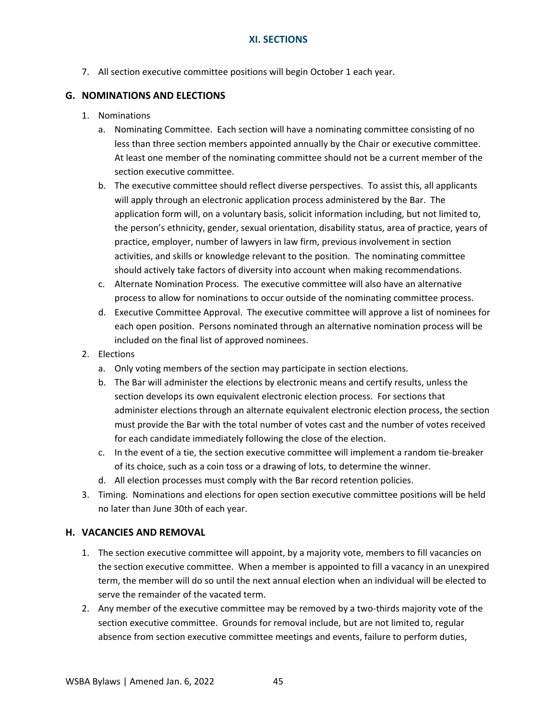7. All section executive committee positions will begin October 1 each year.

### <span id="page-48-0"></span>**G. NOMINATIONS AND ELECTIONS**

- 1. Nominations
	- a. Nominating Committee. Each section will have a nominating committee consisting of no less than three section members appointed annually by the Chair or executive committee. At least one member of the nominating committee should not be a current member of the section executive committee.
	- b. The executive committee should reflect diverse perspectives. To assist this, all applicants will apply through an electronic application process administered by the Bar. The application form will, on a voluntary basis, solicit information including, but not limited to, the person's ethnicity, gender, sexual orientation, disability status, area of practice, years of practice, employer, number of lawyers in law firm, previous involvement in section activities, and skills or knowledge relevant to the position. The nominating committee should actively take factors of diversity into account when making recommendations.
	- c. Alternate Nomination Process. The executive committee will also have an alternative process to allow for nominations to occur outside of the nominating committee process.
	- d. Executive Committee Approval. The executive committee will approve a list of nominees for each open position. Persons nominated through an alternative nomination process will be included on the final list of approved nominees.
- 2. Elections
	- a. Only voting members of the section may participate in section elections.
	- b. The Bar will administer the elections by electronic means and certify results, unless the section develops its own equivalent electronic election process. For sections that administer elections through an alternate equivalent electronic election process, the section must provide the Bar with the total number of votes cast and the number of votes received for each candidate immediately following the close of the election.
	- c. In the event of a tie, the section executive committee will implement a random tie-breaker of its choice, such as a coin toss or a drawing of lots, to determine the winner.
	- d. All election processes must comply with the Bar record retention policies.
- 3. Timing. Nominations and elections for open section executive committee positions will be held no later than June 30th of each year.

#### <span id="page-48-1"></span>**H. VACANCIES AND REMOVAL**

- 1. The section executive committee will appoint, by a majority vote, members to fill vacancies on the section executive committee. When a member is appointed to fill a vacancy in an unexpired term, the member will do so until the next annual election when an individual will be elected to serve the remainder of the vacated term.
- 2. Any member of the executive committee may be removed by a two-thirds majority vote of the section executive committee. Grounds for removal include, but are not limited to, regular absence from section executive committee meetings and events, failure to perform duties,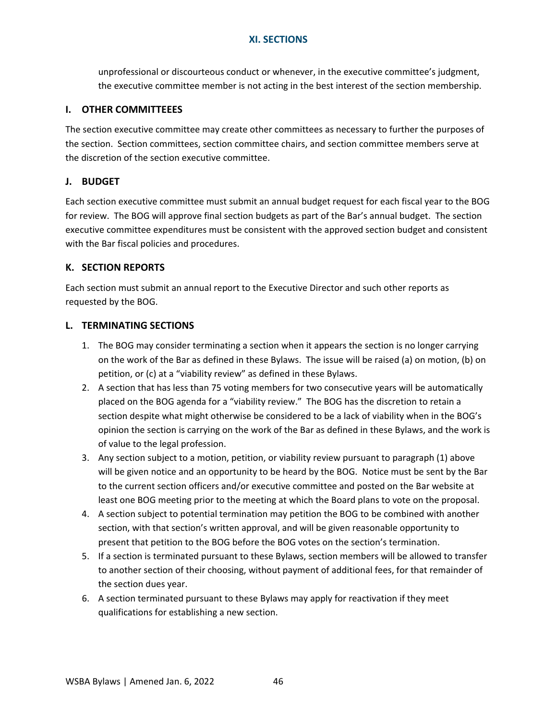unprofessional or discourteous conduct or whenever, in the executive committee's judgment, the executive committee member is not acting in the best interest of the section membership.

### <span id="page-49-0"></span>**I. OTHER COMMITTEEES**

The section executive committee may create other committees as necessary to further the purposes of the section. Section committees, section committee chairs, and section committee members serve at the discretion of the section executive committee.

### <span id="page-49-1"></span>**J. BUDGET**

Each section executive committee must submit an annual budget request for each fiscal year to the BOG for review. The BOG will approve final section budgets as part of the Bar's annual budget. The section executive committee expenditures must be consistent with the approved section budget and consistent with the Bar fiscal policies and procedures.

## <span id="page-49-2"></span>**K. SECTION REPORTS**

Each section must submit an annual report to the Executive Director and such other reports as requested by the BOG.

### <span id="page-49-3"></span>**L. TERMINATING SECTIONS**

- 1. The BOG may consider terminating a section when it appears the section is no longer carrying on the work of the Bar as defined in these Bylaws. The issue will be raised (a) on motion, (b) on petition, or (c) at a "viability review" as defined in these Bylaws.
- 2. A section that has less than 75 voting members for two consecutive years will be automatically placed on the BOG agenda for a "viability review." The BOG has the discretion to retain a section despite what might otherwise be considered to be a lack of viability when in the BOG's opinion the section is carrying on the work of the Bar as defined in these Bylaws, and the work is of value to the legal profession.
- 3. Any section subject to a motion, petition, or viability review pursuant to paragraph (1) above will be given notice and an opportunity to be heard by the BOG. Notice must be sent by the Bar to the current section officers and/or executive committee and posted on the Bar website at least one BOG meeting prior to the meeting at which the Board plans to vote on the proposal.
- 4. A section subject to potential termination may petition the BOG to be combined with another section, with that section's written approval, and will be given reasonable opportunity to present that petition to the BOG before the BOG votes on the section's termination.
- 5. If a section is terminated pursuant to these Bylaws, section members will be allowed to transfer to another section of their choosing, without payment of additional fees, for that remainder of the section dues year.
- 6. A section terminated pursuant to these Bylaws may apply for reactivation if they meet qualifications for establishing a new section.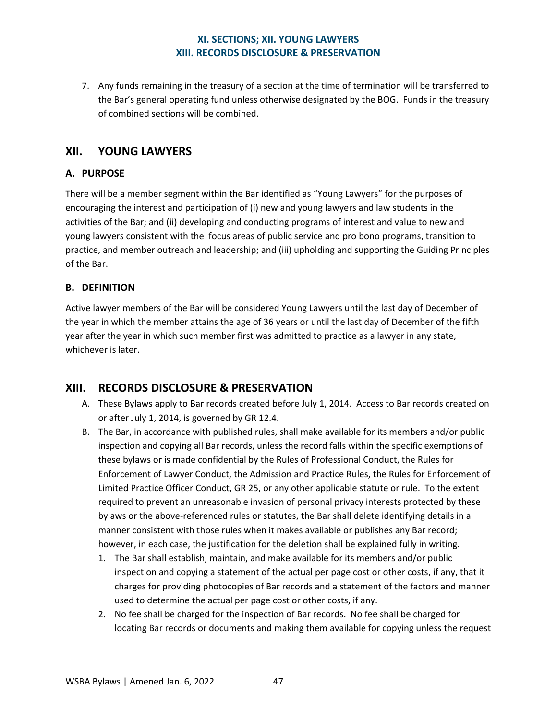# **XI. SECTIONS; XII. YOUNG LAWYERS XIII. RECORDS DISCLOSURE & PRESERVATION**

7. Any funds remaining in the treasury of a section at the time of termination will be transferred to the Bar's general operating fund unless otherwise designated by the BOG. Funds in the treasury of combined sections will be combined.

# <span id="page-50-0"></span>**XII. YOUNG LAWYERS**

# <span id="page-50-1"></span>**A. PURPOSE**

There will be a member segment within the Bar identified as "Young Lawyers" for the purposes of encouraging the interest and participation of (i) new and young lawyers and law students in the activities of the Bar; and (ii) developing and conducting programs of interest and value to new and young lawyers consistent with the focus areas of public service and pro bono programs, transition to practice, and member outreach and leadership; and (iii) upholding and supporting the Guiding Principles of the Bar.

## <span id="page-50-2"></span>**B. DEFINITION**

Active lawyer members of the Bar will be considered Young Lawyers until the last day of December of the year in which the member attains the age of 36 years or until the last day of December of the fifth year after the year in which such member first was admitted to practice as a lawyer in any state, whichever is later.

# <span id="page-50-3"></span>**XIII. RECORDS DISCLOSURE & PRESERVATION**

- A. These Bylaws apply to Bar records created before July 1, 2014. Access to Bar records created on or after July 1, 2014, is governed by GR 12.4.
- B. The Bar, in accordance with published rules, shall make available for its members and/or public inspection and copying all Bar records, unless the record falls within the specific exemptions of these bylaws or is made confidential by the Rules of Professional Conduct, the Rules for Enforcement of Lawyer Conduct, the Admission and Practice Rules, the Rules for Enforcement of Limited Practice Officer Conduct, GR 25, or any other applicable statute or rule. To the extent required to prevent an unreasonable invasion of personal privacy interests protected by these bylaws or the above-referenced rules or statutes, the Bar shall delete identifying details in a manner consistent with those rules when it makes available or publishes any Bar record; however, in each case, the justification for the deletion shall be explained fully in writing.
	- 1. The Bar shall establish, maintain, and make available for its members and/or public inspection and copying a statement of the actual per page cost or other costs, if any, that it charges for providing photocopies of Bar records and a statement of the factors and manner used to determine the actual per page cost or other costs, if any.
	- 2. No fee shall be charged for the inspection of Bar records. No fee shall be charged for locating Bar records or documents and making them available for copying unless the request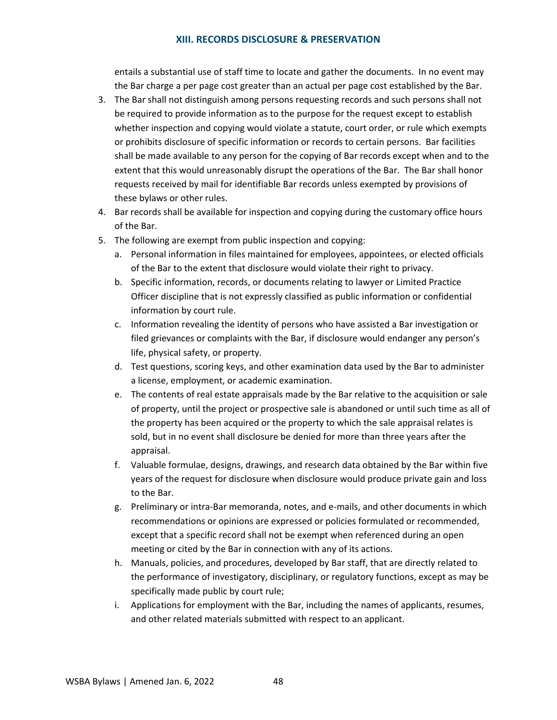#### **XIII. RECORDS DISCLOSURE & PRESERVATION**

entails a substantial use of staff time to locate and gather the documents. In no event may the Bar charge a per page cost greater than an actual per page cost established by the Bar.

- 3. The Bar shall not distinguish among persons requesting records and such persons shall not be required to provide information as to the purpose for the request except to establish whether inspection and copying would violate a statute, court order, or rule which exempts or prohibits disclosure of specific information or records to certain persons. Bar facilities shall be made available to any person for the copying of Bar records except when and to the extent that this would unreasonably disrupt the operations of the Bar. The Bar shall honor requests received by mail for identifiable Bar records unless exempted by provisions of these bylaws or other rules.
- 4. Bar records shall be available for inspection and copying during the customary office hours of the Bar.
- 5. The following are exempt from public inspection and copying:
	- a. Personal information in files maintained for employees, appointees, or elected officials of the Bar to the extent that disclosure would violate their right to privacy.
	- b. Specific information, records, or documents relating to lawyer or Limited Practice Officer discipline that is not expressly classified as public information or confidential information by court rule.
	- c. Information revealing the identity of persons who have assisted a Bar investigation or filed grievances or complaints with the Bar, if disclosure would endanger any person's life, physical safety, or property.
	- d. Test questions, scoring keys, and other examination data used by the Bar to administer a license, employment, or academic examination.
	- e. The contents of real estate appraisals made by the Bar relative to the acquisition or sale of property, until the project or prospective sale is abandoned or until such time as all of the property has been acquired or the property to which the sale appraisal relates is sold, but in no event shall disclosure be denied for more than three years after the appraisal.
	- f. Valuable formulae, designs, drawings, and research data obtained by the Bar within five years of the request for disclosure when disclosure would produce private gain and loss to the Bar.
	- g. Preliminary or intra-Bar memoranda, notes, and e-mails, and other documents in which recommendations or opinions are expressed or policies formulated or recommended, except that a specific record shall not be exempt when referenced during an open meeting or cited by the Bar in connection with any of its actions.
	- h. Manuals, policies, and procedures, developed by Bar staff, that are directly related to the performance of investigatory, disciplinary, or regulatory functions, except as may be specifically made public by court rule;
	- i. Applications for employment with the Bar, including the names of applicants, resumes, and other related materials submitted with respect to an applicant.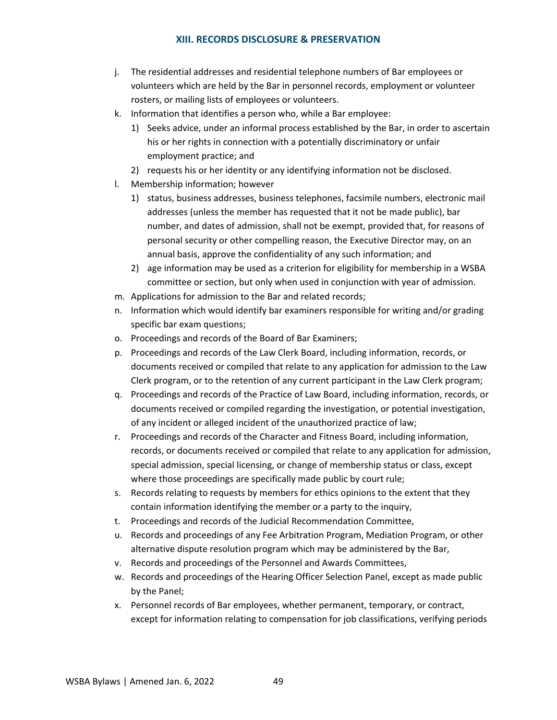### **XIII. RECORDS DISCLOSURE & PRESERVATION**

- j. The residential addresses and residential telephone numbers of Bar employees or volunteers which are held by the Bar in personnel records, employment or volunteer rosters, or mailing lists of employees or volunteers.
- k. Information that identifies a person who, while a Bar employee:
	- 1) Seeks advice, under an informal process established by the Bar, in order to ascertain his or her rights in connection with a potentially discriminatory or unfair employment practice; and
	- 2) requests his or her identity or any identifying information not be disclosed.
- l. Membership information; however
	- 1) status, business addresses, business telephones, facsimile numbers, electronic mail addresses (unless the member has requested that it not be made public), bar number, and dates of admission, shall not be exempt, provided that, for reasons of personal security or other compelling reason, the Executive Director may, on an annual basis, approve the confidentiality of any such information; and
	- 2) age information may be used as a criterion for eligibility for membership in a WSBA committee or section, but only when used in conjunction with year of admission.
- m. Applications for admission to the Bar and related records;
- n. Information which would identify bar examiners responsible for writing and/or grading specific bar exam questions;
- o. Proceedings and records of the Board of Bar Examiners;
- p. Proceedings and records of the Law Clerk Board, including information, records, or documents received or compiled that relate to any application for admission to the Law Clerk program, or to the retention of any current participant in the Law Clerk program;
- q. Proceedings and records of the Practice of Law Board, including information, records, or documents received or compiled regarding the investigation, or potential investigation, of any incident or alleged incident of the unauthorized practice of law;
- r. Proceedings and records of the Character and Fitness Board, including information, records, or documents received or compiled that relate to any application for admission, special admission, special licensing, or change of membership status or class, except where those proceedings are specifically made public by court rule;
- s. Records relating to requests by members for ethics opinions to the extent that they contain information identifying the member or a party to the inquiry,
- t. Proceedings and records of the Judicial Recommendation Committee,
- u. Records and proceedings of any Fee Arbitration Program, Mediation Program, or other alternative dispute resolution program which may be administered by the Bar,
- v. Records and proceedings of the Personnel and Awards Committees,
- w. Records and proceedings of the Hearing Officer Selection Panel, except as made public by the Panel;
- x. Personnel records of Bar employees, whether permanent, temporary, or contract, except for information relating to compensation for job classifications, verifying periods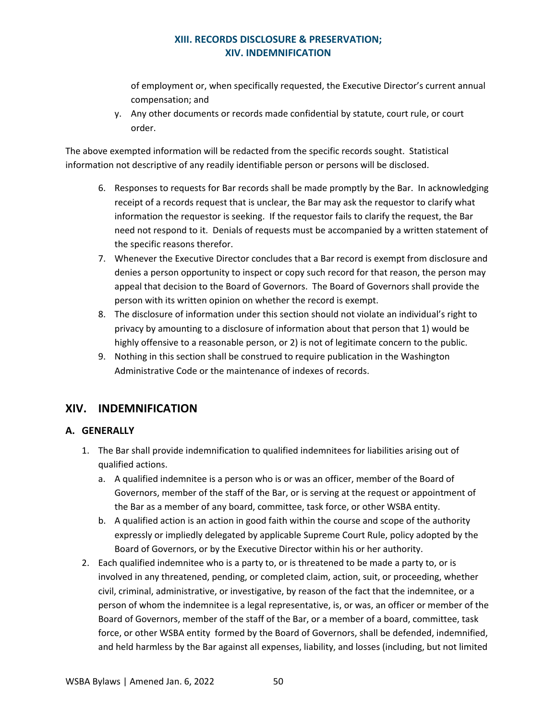# **XIII. RECORDS DISCLOSURE & PRESERVATION; XIV. INDEMNIFICATION**

of employment or, when specifically requested, the Executive Director's current annual compensation; and

y. Any other documents or records made confidential by statute, court rule, or court order.

The above exempted information will be redacted from the specific records sought. Statistical information not descriptive of any readily identifiable person or persons will be disclosed.

- 6. Responses to requests for Bar records shall be made promptly by the Bar. In acknowledging receipt of a records request that is unclear, the Bar may ask the requestor to clarify what information the requestor is seeking. If the requestor fails to clarify the request, the Bar need not respond to it. Denials of requests must be accompanied by a written statement of the specific reasons therefor.
- 7. Whenever the Executive Director concludes that a Bar record is exempt from disclosure and denies a person opportunity to inspect or copy such record for that reason, the person may appeal that decision to the Board of Governors. The Board of Governors shall provide the person with its written opinion on whether the record is exempt.
- 8. The disclosure of information under this section should not violate an individual's right to privacy by amounting to a disclosure of information about that person that 1) would be highly offensive to a reasonable person, or 2) is not of legitimate concern to the public.
- 9. Nothing in this section shall be construed to require publication in the Washington Administrative Code or the maintenance of indexes of records.

# <span id="page-53-0"></span>**XIV. INDEMNIFICATION**

# <span id="page-53-1"></span>**A. GENERALLY**

- 1. The Bar shall provide indemnification to qualified indemnitees for liabilities arising out of qualified actions.
	- a. A qualified indemnitee is a person who is or was an officer, member of the Board of Governors, member of the staff of the Bar, or is serving at the request or appointment of the Bar as a member of any board, committee, task force, or other WSBA entity.
	- b. A qualified action is an action in good faith within the course and scope of the authority expressly or impliedly delegated by applicable Supreme Court Rule, policy adopted by the Board of Governors, or by the Executive Director within his or her authority.
- 2. Each qualified indemnitee who is a party to, or is threatened to be made a party to, or is involved in any threatened, pending, or completed claim, action, suit, or proceeding, whether civil, criminal, administrative, or investigative, by reason of the fact that the indemnitee, or a person of whom the indemnitee is a legal representative, is, or was, an officer or member of the Board of Governors, member of the staff of the Bar, or a member of a board, committee, task force, or other WSBA entity formed by the Board of Governors, shall be defended, indemnified, and held harmless by the Bar against all expenses, liability, and losses (including, but not limited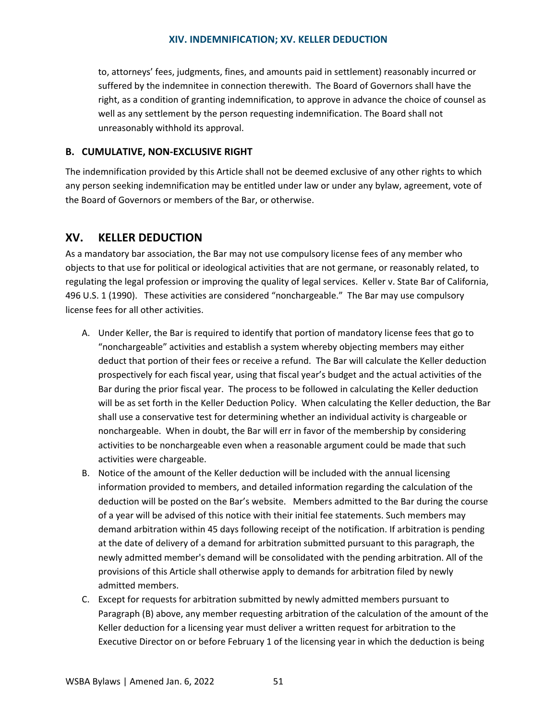#### **XIV. INDEMNIFICATION; XV. KELLER DEDUCTION**

to, attorneys' fees, judgments, fines, and amounts paid in settlement) reasonably incurred or suffered by the indemnitee in connection therewith. The Board of Governors shall have the right, as a condition of granting indemnification, to approve in advance the choice of counsel as well as any settlement by the person requesting indemnification. The Board shall not unreasonably withhold its approval.

### <span id="page-54-0"></span>**B. CUMULATIVE, NON-EXCLUSIVE RIGHT**

The indemnification provided by this Article shall not be deemed exclusive of any other rights to which any person seeking indemnification may be entitled under law or under any bylaw, agreement, vote of the Board of Governors or members of the Bar, or otherwise.

# <span id="page-54-1"></span>**XV. KELLER DEDUCTION**

As a mandatory bar association, the Bar may not use compulsory license fees of any member who objects to that use for political or ideological activities that are not germane, or reasonably related, to regulating the legal profession or improving the quality of legal services. Keller v. State Bar of California, 496 U.S. 1 (1990). These activities are considered "nonchargeable." The Bar may use compulsory license fees for all other activities.

- A. Under Keller, the Bar is required to identify that portion of mandatory license fees that go to "nonchargeable" activities and establish a system whereby objecting members may either deduct that portion of their fees or receive a refund. The Bar will calculate the Keller deduction prospectively for each fiscal year, using that fiscal year's budget and the actual activities of the Bar during the prior fiscal year. The process to be followed in calculating the Keller deduction will be as set forth in the Keller Deduction Policy. When calculating the Keller deduction, the Bar shall use a conservative test for determining whether an individual activity is chargeable or nonchargeable. When in doubt, the Bar will err in favor of the membership by considering activities to be nonchargeable even when a reasonable argument could be made that such activities were chargeable.
- B. Notice of the amount of the Keller deduction will be included with the annual licensing information provided to members, and detailed information regarding the calculation of the deduction will be posted on the Bar's website. Members admitted to the Bar during the course of a year will be advised of this notice with their initial fee statements. Such members may demand arbitration within 45 days following receipt of the notification. If arbitration is pending at the date of delivery of a demand for arbitration submitted pursuant to this paragraph, the newly admitted member's demand will be consolidated with the pending arbitration. All of the provisions of this Article shall otherwise apply to demands for arbitration filed by newly admitted members.
- C. Except for requests for arbitration submitted by newly admitted members pursuant to Paragraph (B) above, any member requesting arbitration of the calculation of the amount of the Keller deduction for a licensing year must deliver a written request for arbitration to the Executive Director on or before February 1 of the licensing year in which the deduction is being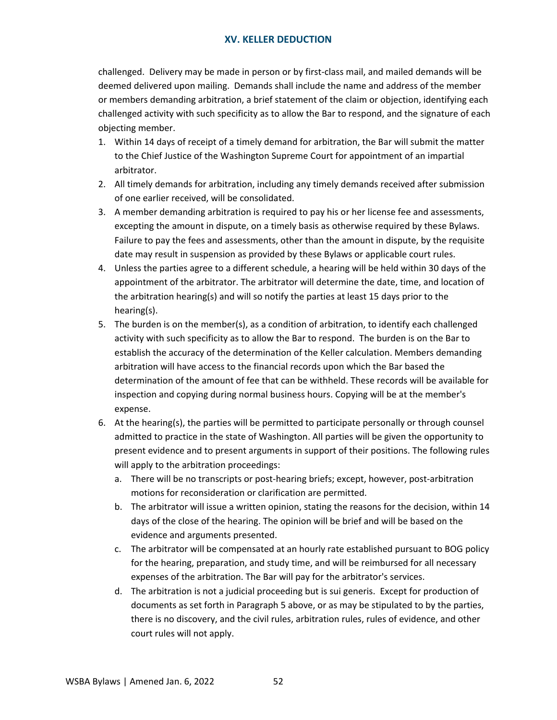## **XV. KELLER DEDUCTION**

challenged. Delivery may be made in person or by first-class mail, and mailed demands will be deemed delivered upon mailing. Demands shall include the name and address of the member or members demanding arbitration, a brief statement of the claim or objection, identifying each challenged activity with such specificity as to allow the Bar to respond, and the signature of each objecting member.

- 1. Within 14 days of receipt of a timely demand for arbitration, the Bar will submit the matter to the Chief Justice of the Washington Supreme Court for appointment of an impartial arbitrator.
- 2. All timely demands for arbitration, including any timely demands received after submission of one earlier received, will be consolidated.
- 3. A member demanding arbitration is required to pay his or her license fee and assessments, excepting the amount in dispute, on a timely basis as otherwise required by these Bylaws. Failure to pay the fees and assessments, other than the amount in dispute, by the requisite date may result in suspension as provided by these Bylaws or applicable court rules.
- 4. Unless the parties agree to a different schedule, a hearing will be held within 30 days of the appointment of the arbitrator. The arbitrator will determine the date, time, and location of the arbitration hearing(s) and will so notify the parties at least 15 days prior to the hearing(s).
- 5. The burden is on the member(s), as a condition of arbitration, to identify each challenged activity with such specificity as to allow the Bar to respond. The burden is on the Bar to establish the accuracy of the determination of the Keller calculation. Members demanding arbitration will have access to the financial records upon which the Bar based the determination of the amount of fee that can be withheld. These records will be available for inspection and copying during normal business hours. Copying will be at the member's expense.
- 6. At the hearing(s), the parties will be permitted to participate personally or through counsel admitted to practice in the state of Washington. All parties will be given the opportunity to present evidence and to present arguments in support of their positions. The following rules will apply to the arbitration proceedings:
	- a. There will be no transcripts or post-hearing briefs; except, however, post-arbitration motions for reconsideration or clarification are permitted.
	- b. The arbitrator will issue a written opinion, stating the reasons for the decision, within 14 days of the close of the hearing. The opinion will be brief and will be based on the evidence and arguments presented.
	- c. The arbitrator will be compensated at an hourly rate established pursuant to BOG policy for the hearing, preparation, and study time, and will be reimbursed for all necessary expenses of the arbitration. The Bar will pay for the arbitrator's services.
	- d. The arbitration is not a judicial proceeding but is sui generis. Except for production of documents as set forth in Paragraph 5 above, or as may be stipulated to by the parties, there is no discovery, and the civil rules, arbitration rules, rules of evidence, and other court rules will not apply.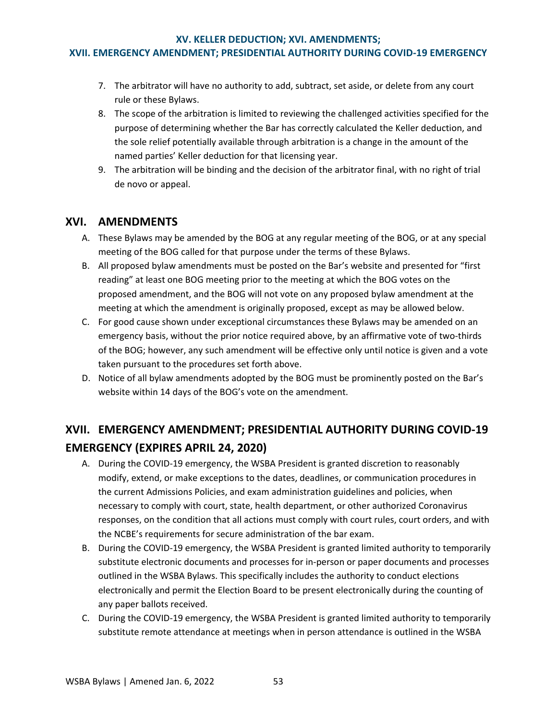#### **XV. KELLER DEDUCTION; XVI. AMENDMENTS;**

### **XVII. EMERGENCY AMENDMENT; PRESIDENTIAL AUTHORITY DURING COVID-19 EMERGENCY**

- 7. The arbitrator will have no authority to add, subtract, set aside, or delete from any court rule or these Bylaws.
- 8. The scope of the arbitration is limited to reviewing the challenged activities specified for the purpose of determining whether the Bar has correctly calculated the Keller deduction, and the sole relief potentially available through arbitration is a change in the amount of the named parties' Keller deduction for that licensing year.
- 9. The arbitration will be binding and the decision of the arbitrator final, with no right of trial de novo or appeal.

# <span id="page-56-0"></span>**XVI. AMENDMENTS**

- A. These Bylaws may be amended by the BOG at any regular meeting of the BOG, or at any special meeting of the BOG called for that purpose under the terms of these Bylaws.
- B. All proposed bylaw amendments must be posted on the Bar's website and presented for "first reading" at least one BOG meeting prior to the meeting at which the BOG votes on the proposed amendment, and the BOG will not vote on any proposed bylaw amendment at the meeting at which the amendment is originally proposed, except as may be allowed below.
- C. For good cause shown under exceptional circumstances these Bylaws may be amended on an emergency basis, without the prior notice required above, by an affirmative vote of two-thirds of the BOG; however, any such amendment will be effective only until notice is given and a vote taken pursuant to the procedures set forth above.
- D. Notice of all bylaw amendments adopted by the BOG must be prominently posted on the Bar's website within 14 days of the BOG's vote on the amendment.

# <span id="page-56-1"></span>**XVII. EMERGENCY AMENDMENT; PRESIDENTIAL AUTHORITY DURING COVID-19 EMERGENCY (EXPIRES APRIL 24, 2020)**

- A. During the COVID-19 emergency, the WSBA President is granted discretion to reasonably modify, extend, or make exceptions to the dates, deadlines, or communication procedures in the current Admissions Policies, and exam administration guidelines and policies, when necessary to comply with court, state, health department, or other authorized Coronavirus responses, on the condition that all actions must comply with court rules, court orders, and with the NCBE's requirements for secure administration of the bar exam.
- B. During the COVID-19 emergency, the WSBA President is granted limited authority to temporarily substitute electronic documents and processes for in-person or paper documents and processes outlined in the WSBA Bylaws. This specifically includes the authority to conduct elections electronically and permit the Election Board to be present electronically during the counting of any paper ballots received.
- C. During the COVID-19 emergency, the WSBA President is granted limited authority to temporarily substitute remote attendance at meetings when in person attendance is outlined in the WSBA